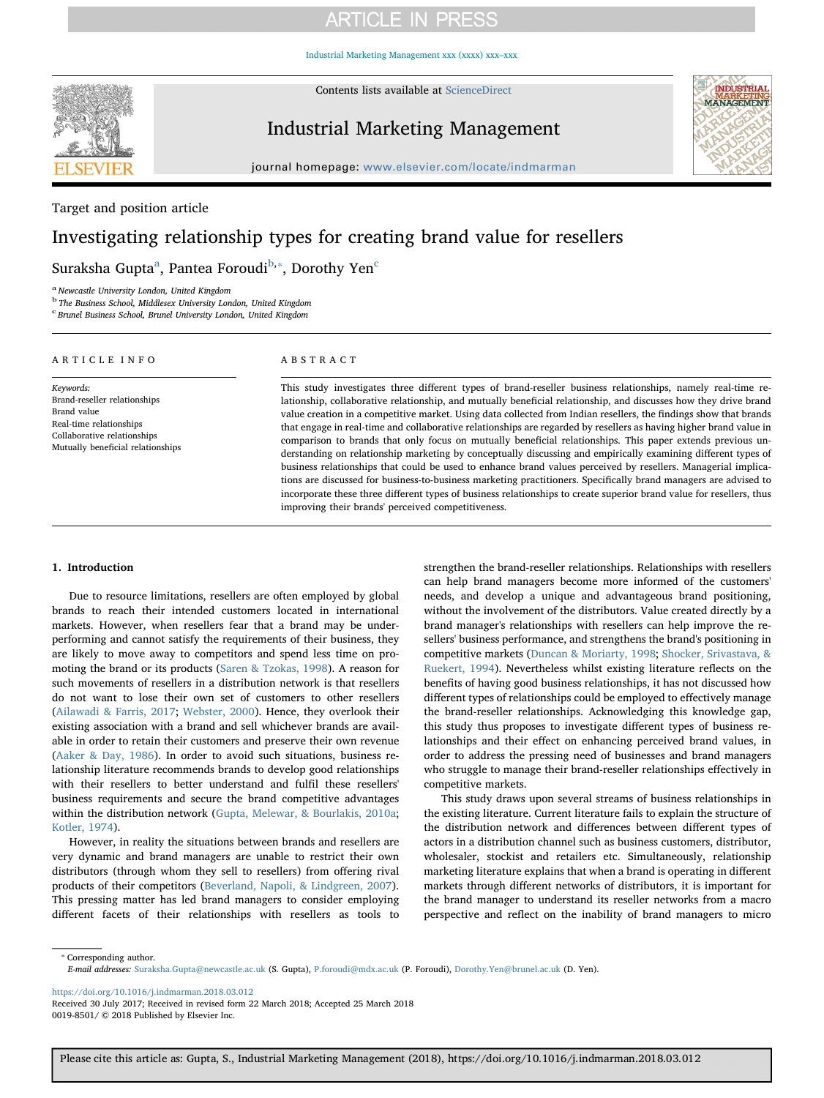[Industrial Marketing Management xxx \(xxxx\) xxx–xxx](https://doi.org/10.1016/j.indmarman.2018.03.012)



Contents lists available at [ScienceDirect](http://www.sciencedirect.com/science/journal/00198501)

### Industrial Marketing Management



journal homepage: [www.elsevier.com/locate/indmarman](https://www.elsevier.com/locate/indmarman)

Target and position article

## Investigating relationship types for creating brand value for resellers

Sur[a](#page-0-0)ksha Gupta $^{\rm a}$ , Pantea Foroudi $^{\rm b, *},$  $^{\rm b, *},$  $^{\rm b, *},$  Dorothy Yen $^{\rm c}$ 

<span id="page-0-0"></span><sup>a</sup> Newcastle University London, United Kingdom

<span id="page-0-1"></span><sup>b</sup> The Business School, Middlesex University London, United Kingdom

<span id="page-0-3"></span>c Brunel Business School, Brunel University London, United Kingdom

| ARTICLE INFO                      | A B S T R A C T                                                                                                                                                                                                                                                                                  |
|-----------------------------------|--------------------------------------------------------------------------------------------------------------------------------------------------------------------------------------------------------------------------------------------------------------------------------------------------|
| Keywords:                         | This study investigates three different types of brand-reseller business relationships, namely real-time re-                                                                                                                                                                                     |
| Brand-reseller relationships      | lationship, collaborative relationship, and mutually beneficial relationship, and discusses how they drive brand                                                                                                                                                                                 |
| Brand value                       | value creation in a competitive market. Using data collected from Indian resellers, the findings show that brands                                                                                                                                                                                |
| Real-time relationships           | that engage in real-time and collaborative relationships are regarded by resellers as having higher brand value in                                                                                                                                                                               |
| Collaborative relationships       | comparison to brands that only focus on mutually beneficial relationships. This paper extends previous un-                                                                                                                                                                                       |
| Mutually beneficial relationships | $\mathbf{1}$ and $\mathbf{1}$ are $\mathbf{1}$ and $\mathbf{1}$ and $\mathbf{1}$ are $\mathbf{1}$ and $\mathbf{1}$ are $\mathbf{1}$ and $\mathbf{1}$ are $\mathbf{1}$ and $\mathbf{1}$ and $\mathbf{1}$ and $\mathbf{1}$ and $\mathbf{1}$ and $\mathbf{1}$ and $\mathbf{1}$ and $\mathbf{1}$ and |

derstanding on relationship marketing by conceptually discussing and empirically examining different types of business relationships that could be used to enhance brand values perceived by resellers. Managerial implications are discussed for business-to-business marketing practitioners. Specifically brand managers are advised to incorporate these three different types of business relationships to create superior brand value for resellers, thus improving their brands' perceived competitiveness.

### 1. Introduction

Due to resource limitations, resellers are often employed by global brands to reach their intended customers located in international markets. However, when resellers fear that a brand may be underperforming and cannot satisfy the requirements of their business, they are likely to move away to competitors and spend less time on promoting the brand or its products [\(Saren & Tzokas, 1998](#page-10-0)). A reason for such movements of resellers in a distribution network is that resellers do not want to lose their own set of customers to other resellers ([Ailawadi & Farris, 2017](#page-9-0); [Webster, 2000](#page-10-1)). Hence, they overlook their existing association with a brand and sell whichever brands are available in order to retain their customers and preserve their own revenue ([Aaker & Day, 1986](#page-9-1)). In order to avoid such situations, business relationship literature recommends brands to develop good relationships with their resellers to better understand and fulfil these resellers' business requirements and secure the brand competitive advantages within the distribution network [\(Gupta, Melewar, & Bourlakis, 2010a](#page-9-2); [Kotler, 1974\)](#page-9-3).

However, in reality the situations between brands and resellers are very dynamic and brand managers are unable to restrict their own distributors (through whom they sell to resellers) from offering rival products of their competitors ([Beverland, Napoli, & Lindgreen, 2007](#page-9-4)). This pressing matter has led brand managers to consider employing different facets of their relationships with resellers as tools to

strengthen the brand-reseller relationships. Relationships with resellers can help brand managers become more informed of the customers' needs, and develop a unique and advantageous brand positioning, without the involvement of the distributors. Value created directly by a brand manager's relationships with resellers can help improve the resellers' business performance, and strengthens the brand's positioning in competitive markets ([Duncan & Moriarty, 1998](#page-9-5); [Shocker, Srivastava, &](#page-10-2) [Ruekert, 1994\)](#page-10-2). Nevertheless whilst existing literature reflects on the benefits of having good business relationships, it has not discussed how different types of relationships could be employed to effectively manage the brand-reseller relationships. Acknowledging this knowledge gap, this study thus proposes to investigate different types of business relationships and their effect on enhancing perceived brand values, in order to address the pressing need of businesses and brand managers who struggle to manage their brand-reseller relationships effectively in competitive markets.

This study draws upon several streams of business relationships in the existing literature. Current literature fails to explain the structure of the distribution network and differences between different types of actors in a distribution channel such as business customers, distributor, wholesaler, stockist and retailers etc. Simultaneously, relationship marketing literature explains that when a brand is operating in different markets through different networks of distributors, it is important for the brand manager to understand its reseller networks from a macro perspective and reflect on the inability of brand managers to micro

<span id="page-0-2"></span>⁎ Corresponding author. E-mail addresses: [Suraksha.Gupta@newcastle.ac.uk](mailto:Suraksha.Gupta@newcastle.ac.uk) (S. Gupta), [P.foroudi@mdx.ac.uk](mailto:P.foroudi@mdx.ac.uk) (P. Foroudi), [Dorothy.Yen@brunel.ac.uk](mailto:Dorothy.Yen@brunel.ac.uk) (D. Yen).

<https://doi.org/10.1016/j.indmarman.2018.03.012>

Received 30 July 2017; Received in revised form 22 March 2018; Accepted 25 March 2018 0019-8501/ © 2018 Published by Elsevier Inc.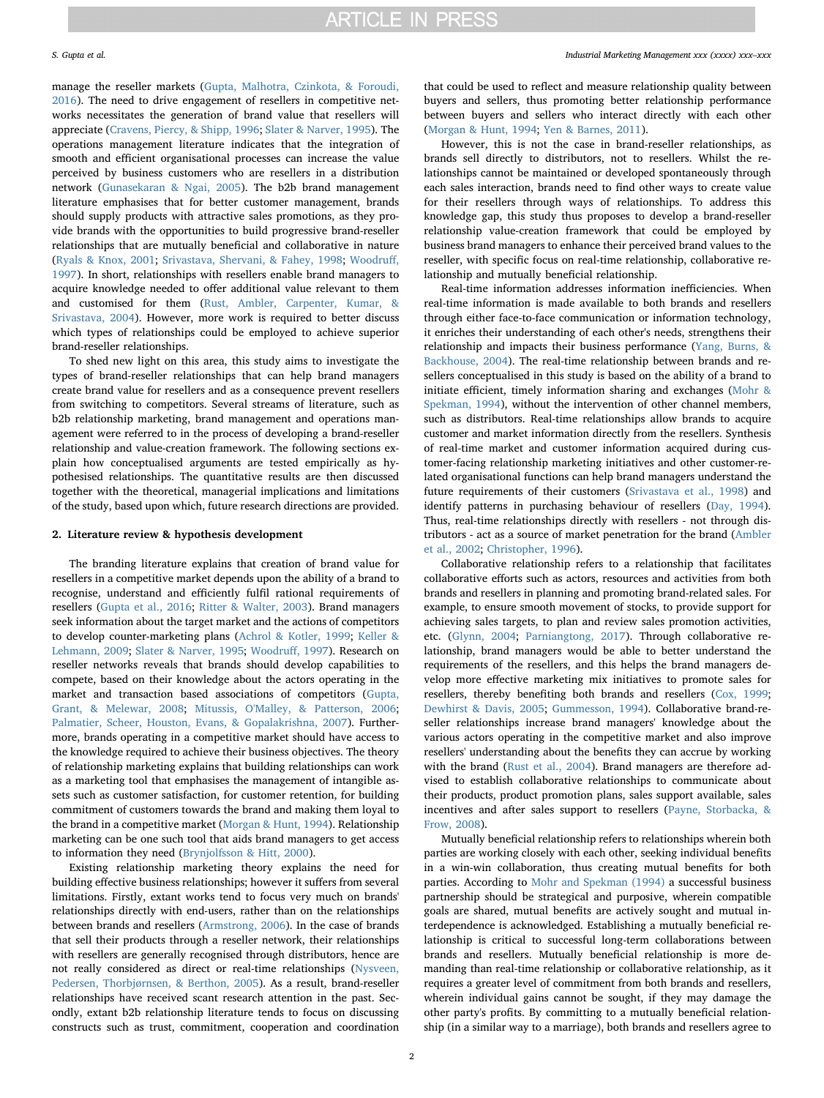manage the reseller markets ([Gupta, Malhotra, Czinkota, & Foroudi,](#page-9-6) [2016\)](#page-9-6). The need to drive engagement of resellers in competitive networks necessitates the generation of brand value that resellers will appreciate [\(Cravens, Piercy, & Shipp, 1996;](#page-9-7) [Slater & Narver, 1995](#page-10-3)). The operations management literature indicates that the integration of smooth and efficient organisational processes can increase the value perceived by business customers who are resellers in a distribution network ([Gunasekaran & Ngai, 2005](#page-9-8)). The b2b brand management literature emphasises that for better customer management, brands should supply products with attractive sales promotions, as they provide brands with the opportunities to build progressive brand-reseller relationships that are mutually beneficial and collaborative in nature ([Ryals & Knox, 2001](#page-10-4); [Srivastava, Shervani, & Fahey, 1998;](#page-10-5) [Woodru](#page-10-6)ff, [1997\)](#page-10-6). In short, relationships with resellers enable brand managers to acquire knowledge needed to offer additional value relevant to them and customised for them ([Rust, Ambler, Carpenter, Kumar, &](#page-9-9) [Srivastava, 2004](#page-9-9)). However, more work is required to better discuss which types of relationships could be employed to achieve superior brand-reseller relationships.

To shed new light on this area, this study aims to investigate the types of brand-reseller relationships that can help brand managers create brand value for resellers and as a consequence prevent resellers from switching to competitors. Several streams of literature, such as b2b relationship marketing, brand management and operations management were referred to in the process of developing a brand-reseller relationship and value-creation framework. The following sections explain how conceptualised arguments are tested empirically as hypothesised relationships. The quantitative results are then discussed together with the theoretical, managerial implications and limitations of the study, based upon which, future research directions are provided.

#### 2. Literature review & hypothesis development

The branding literature explains that creation of brand value for resellers in a competitive market depends upon the ability of a brand to recognise, understand and efficiently fulfil rational requirements of resellers ([Gupta et al., 2016;](#page-9-6) [Ritter & Walter, 2003\)](#page-9-10). Brand managers seek information about the target market and the actions of competitors to develop counter-marketing plans ([Achrol & Kotler, 1999](#page-9-11); [Keller &](#page-9-12) [Lehmann, 2009](#page-9-12); [Slater & Narver, 1995](#page-10-3); [Woodru](#page-10-6)ff, 1997). Research on reseller networks reveals that brands should develop capabilities to compete, based on their knowledge about the actors operating in the market and transaction based associations of competitors [\(Gupta,](#page-9-13) [Grant, & Melewar, 2008](#page-9-13); [Mitussis, O'Malley, & Patterson, 2006](#page-9-14); [Palmatier, Scheer, Houston, Evans, & Gopalakrishna, 2007](#page-9-15)). Furthermore, brands operating in a competitive market should have access to the knowledge required to achieve their business objectives. The theory of relationship marketing explains that building relationships can work as a marketing tool that emphasises the management of intangible assets such as customer satisfaction, for customer retention, for building commitment of customers towards the brand and making them loyal to the brand in a competitive market [\(Morgan & Hunt, 1994](#page-9-16)). Relationship marketing can be one such tool that aids brand managers to get access to information they need [\(Brynjolfsson & Hitt, 2000](#page-9-17)).

Existing relationship marketing theory explains the need for building effective business relationships; however it suffers from several limitations. Firstly, extant works tend to focus very much on brands' relationships directly with end-users, rather than on the relationships between brands and resellers [\(Armstrong, 2006\)](#page-9-18). In the case of brands that sell their products through a reseller network, their relationships with resellers are generally recognised through distributors, hence are not really considered as direct or real-time relationships ([Nysveen,](#page-9-19) [Pedersen, Thorbjørnsen, & Berthon, 2005](#page-9-19)). As a result, brand-reseller relationships have received scant research attention in the past. Secondly, extant b2b relationship literature tends to focus on discussing constructs such as trust, commitment, cooperation and coordination

that could be used to reflect and measure relationship quality between buyers and sellers, thus promoting better relationship performance between buyers and sellers who interact directly with each other ([Morgan & Hunt, 1994](#page-9-16); [Yen & Barnes, 2011\)](#page-10-7).

However, this is not the case in brand-reseller relationships, as brands sell directly to distributors, not to resellers. Whilst the relationships cannot be maintained or developed spontaneously through each sales interaction, brands need to find other ways to create value for their resellers through ways of relationships. To address this knowledge gap, this study thus proposes to develop a brand-reseller relationship value-creation framework that could be employed by business brand managers to enhance their perceived brand values to the reseller, with specific focus on real-time relationship, collaborative relationship and mutually beneficial relationship.

Real-time information addresses information inefficiencies. When real-time information is made available to both brands and resellers through either face-to-face communication or information technology, it enriches their understanding of each other's needs, strengthens their relationship and impacts their business performance ([Yang, Burns, &](#page-10-8) [Backhouse, 2004](#page-10-8)). The real-time relationship between brands and resellers conceptualised in this study is based on the ability of a brand to initiate efficient, timely information sharing and exchanges ([Mohr &](#page-9-20) [Spekman, 1994\)](#page-9-20), without the intervention of other channel members, such as distributors. Real-time relationships allow brands to acquire customer and market information directly from the resellers. Synthesis of real-time market and customer information acquired during customer-facing relationship marketing initiatives and other customer-related organisational functions can help brand managers understand the future requirements of their customers [\(Srivastava et al., 1998\)](#page-10-5) and identify patterns in purchasing behaviour of resellers ([Day, 1994](#page-9-21)). Thus, real-time relationships directly with resellers - not through distributors - act as a source of market penetration for the brand ([Ambler](#page-9-22) [et al., 2002](#page-9-22); [Christopher, 1996](#page-9-23)).

Collaborative relationship refers to a relationship that facilitates collaborative efforts such as actors, resources and activities from both brands and resellers in planning and promoting brand-related sales. For example, to ensure smooth movement of stocks, to provide support for achieving sales targets, to plan and review sales promotion activities, etc. ([Glynn, 2004](#page-9-24); [Parniangtong, 2017](#page-9-25)). Through collaborative relationship, brand managers would be able to better understand the requirements of the resellers, and this helps the brand managers develop more effective marketing mix initiatives to promote sales for resellers, thereby benefiting both brands and resellers (Cox, [1999](#page-9-26); [Dewhirst & Davis, 2005;](#page-9-27) [Gummesson, 1994\)](#page-9-28). Collaborative brand-reseller relationships increase brand managers' knowledge about the various actors operating in the competitive market and also improve resellers' understanding about the benefits they can accrue by working with the brand ([Rust et al., 2004](#page-9-9)). Brand managers are therefore advised to establish collaborative relationships to communicate about their products, product promotion plans, sales support available, sales incentives and after sales support to resellers [\(Payne, Storbacka, &](#page-9-29) [Frow, 2008](#page-9-29)).

Mutually beneficial relationship refers to relationships wherein both parties are working closely with each other, seeking individual benefits in a win-win collaboration, thus creating mutual benefits for both parties. According to [Mohr and Spekman \(1994\)](#page-9-20) a successful business partnership should be strategical and purposive, wherein compatible goals are shared, mutual benefits are actively sought and mutual interdependence is acknowledged. Establishing a mutually beneficial relationship is critical to successful long-term collaborations between brands and resellers. Mutually beneficial relationship is more demanding than real-time relationship or collaborative relationship, as it requires a greater level of commitment from both brands and resellers, wherein individual gains cannot be sought, if they may damage the other party's profits. By committing to a mutually beneficial relationship (in a similar way to a marriage), both brands and resellers agree to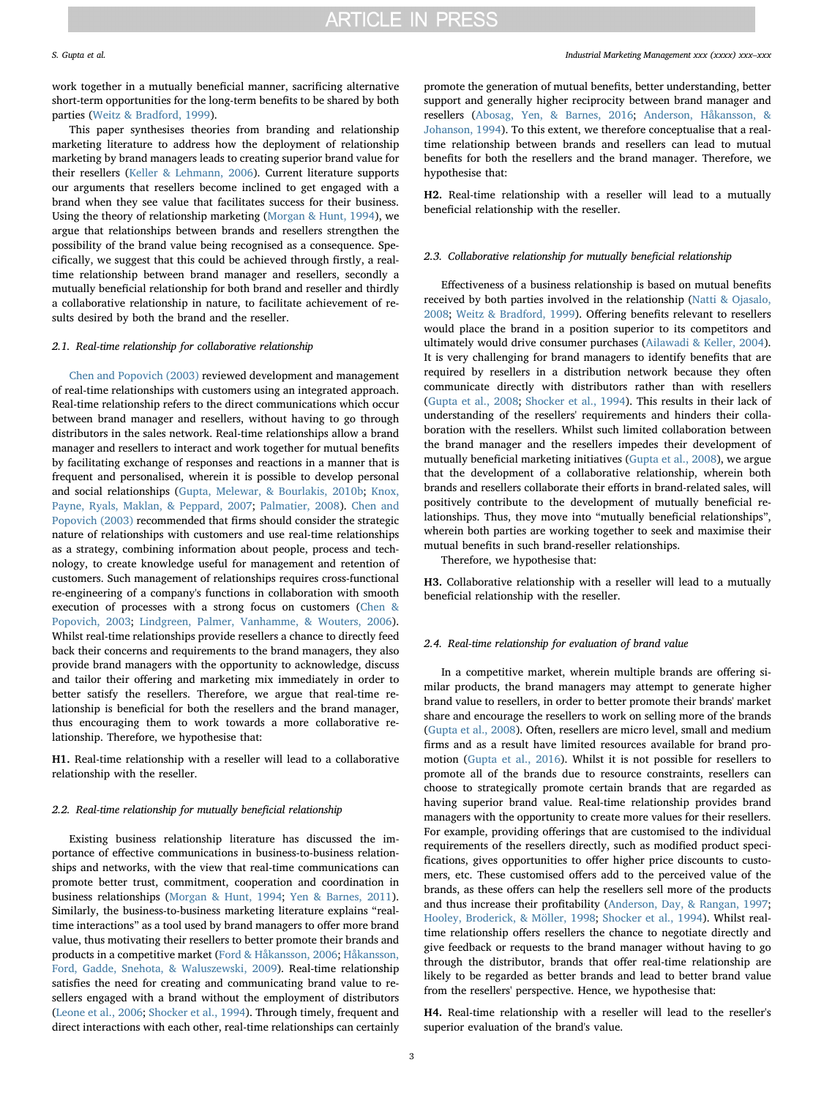work together in a mutually beneficial manner, sacrificing alternative short-term opportunities for the long-term benefits to be shared by both parties [\(Weitz & Bradford, 1999\)](#page-10-9).

This paper synthesises theories from branding and relationship marketing literature to address how the deployment of relationship marketing by brand managers leads to creating superior brand value for their resellers [\(Keller & Lehmann, 2006](#page-9-30)). Current literature supports our arguments that resellers become inclined to get engaged with a brand when they see value that facilitates success for their business. Using the theory of relationship marketing [\(Morgan & Hunt, 1994\)](#page-9-16), we argue that relationships between brands and resellers strengthen the possibility of the brand value being recognised as a consequence. Specifically, we suggest that this could be achieved through firstly, a realtime relationship between brand manager and resellers, secondly a mutually beneficial relationship for both brand and reseller and thirdly a collaborative relationship in nature, to facilitate achievement of results desired by both the brand and the reseller.

#### 2.1. Real-time relationship for collaborative relationship

[Chen and Popovich \(2003\)](#page-9-31) reviewed development and management of real-time relationships with customers using an integrated approach. Real-time relationship refers to the direct communications which occur between brand manager and resellers, without having to go through distributors in the sales network. Real-time relationships allow a brand manager and resellers to interact and work together for mutual benefits by facilitating exchange of responses and reactions in a manner that is frequent and personalised, wherein it is possible to develop personal and social relationships [\(Gupta, Melewar, & Bourlakis, 2010b;](#page-9-32) [Knox,](#page-9-33) [Payne, Ryals, Maklan, & Peppard, 2007](#page-9-33); [Palmatier, 2008\)](#page-9-34). [Chen and](#page-9-31) [Popovich \(2003\)](#page-9-31) recommended that firms should consider the strategic nature of relationships with customers and use real-time relationships as a strategy, combining information about people, process and technology, to create knowledge useful for management and retention of customers. Such management of relationships requires cross-functional re-engineering of a company's functions in collaboration with smooth execution of processes with a strong focus on customers ([Chen &](#page-9-31) [Popovich, 2003;](#page-9-31) [Lindgreen, Palmer, Vanhamme, & Wouters, 2006](#page-9-35)). Whilst real-time relationships provide resellers a chance to directly feed back their concerns and requirements to the brand managers, they also provide brand managers with the opportunity to acknowledge, discuss and tailor their offering and marketing mix immediately in order to better satisfy the resellers. Therefore, we argue that real-time relationship is beneficial for both the resellers and the brand manager, thus encouraging them to work towards a more collaborative relationship. Therefore, we hypothesise that:

<span id="page-2-0"></span>H1. Real-time relationship with a reseller will lead to a collaborative relationship with the reseller.

#### 2.2. Real-time relationship for mutually beneficial relationship

Existing business relationship literature has discussed the importance of effective communications in business-to-business relationships and networks, with the view that real-time communications can promote better trust, commitment, cooperation and coordination in business relationships [\(Morgan & Hunt, 1994;](#page-9-16) [Yen & Barnes, 2011](#page-10-7)). Similarly, the business-to-business marketing literature explains "realtime interactions" as a tool used by brand managers to offer more brand value, thus motivating their resellers to better promote their brands and products in a competitive market [\(Ford & Håkansson, 2006](#page-9-36); [Håkansson,](#page-9-37) [Ford, Gadde, Snehota, & Waluszewski, 2009](#page-9-37)). Real-time relationship satisfies the need for creating and communicating brand value to resellers engaged with a brand without the employment of distributors ([Leone et al., 2006](#page-9-38); [Shocker et al., 1994\)](#page-10-2). Through timely, frequent and direct interactions with each other, real-time relationships can certainly

promote the generation of mutual benefits, better understanding, better support and generally higher reciprocity between brand manager and resellers ([Abosag, Yen, & Barnes, 2016;](#page-9-39) [Anderson, Håkansson, &](#page-9-40) [Johanson, 1994](#page-9-40)). To this extent, we therefore conceptualise that a realtime relationship between brands and resellers can lead to mutual benefits for both the resellers and the brand manager. Therefore, we hypothesise that:

<span id="page-2-1"></span>H2. Real-time relationship with a reseller will lead to a mutually beneficial relationship with the reseller.

#### 2.3. Collaborative relationship for mutually beneficial relationship

Effectiveness of a business relationship is based on mutual benefits received by both parties involved in the relationship ([Natti & Ojasalo,](#page-9-41) [2008;](#page-9-41) [Weitz & Bradford, 1999\)](#page-10-9). Offering benefits relevant to resellers would place the brand in a position superior to its competitors and ultimately would drive consumer purchases [\(Ailawadi & Keller, 2004](#page-9-42)). It is very challenging for brand managers to identify benefits that are required by resellers in a distribution network because they often communicate directly with distributors rather than with resellers ([Gupta et al., 2008;](#page-9-13) [Shocker et al., 1994](#page-10-2)). This results in their lack of understanding of the resellers' requirements and hinders their collaboration with the resellers. Whilst such limited collaboration between the brand manager and the resellers impedes their development of mutually beneficial marketing initiatives [\(Gupta et al., 2008](#page-9-13)), we argue that the development of a collaborative relationship, wherein both brands and resellers collaborate their efforts in brand-related sales, will positively contribute to the development of mutually beneficial relationships. Thus, they move into "mutually beneficial relationships", wherein both parties are working together to seek and maximise their mutual benefits in such brand-reseller relationships.

Therefore, we hypothesise that:

<span id="page-2-3"></span>H3. Collaborative relationship with a reseller will lead to a mutually beneficial relationship with the reseller.

#### 2.4. Real-time relationship for evaluation of brand value

In a competitive market, wherein multiple brands are offering similar products, the brand managers may attempt to generate higher brand value to resellers, in order to better promote their brands' market share and encourage the resellers to work on selling more of the brands ([Gupta et al., 2008\)](#page-9-13). Often, resellers are micro level, small and medium firms and as a result have limited resources available for brand promotion [\(Gupta et al., 2016](#page-9-6)). Whilst it is not possible for resellers to promote all of the brands due to resource constraints, resellers can choose to strategically promote certain brands that are regarded as having superior brand value. Real-time relationship provides brand managers with the opportunity to create more values for their resellers. For example, providing offerings that are customised to the individual requirements of the resellers directly, such as modified product specifications, gives opportunities to offer higher price discounts to customers, etc. These customised offers add to the perceived value of the brands, as these offers can help the resellers sell more of the products and thus increase their profitability ([Anderson, Day, & Rangan, 1997](#page-9-43); [Hooley, Broderick, & Möller, 1998;](#page-9-44) [Shocker et al., 1994](#page-10-2)). Whilst realtime relationship offers resellers the chance to negotiate directly and give feedback or requests to the brand manager without having to go through the distributor, brands that offer real-time relationship are likely to be regarded as better brands and lead to better brand value from the resellers' perspective. Hence, we hypothesise that:

<span id="page-2-2"></span>H4. Real-time relationship with a reseller will lead to the reseller's superior evaluation of the brand's value.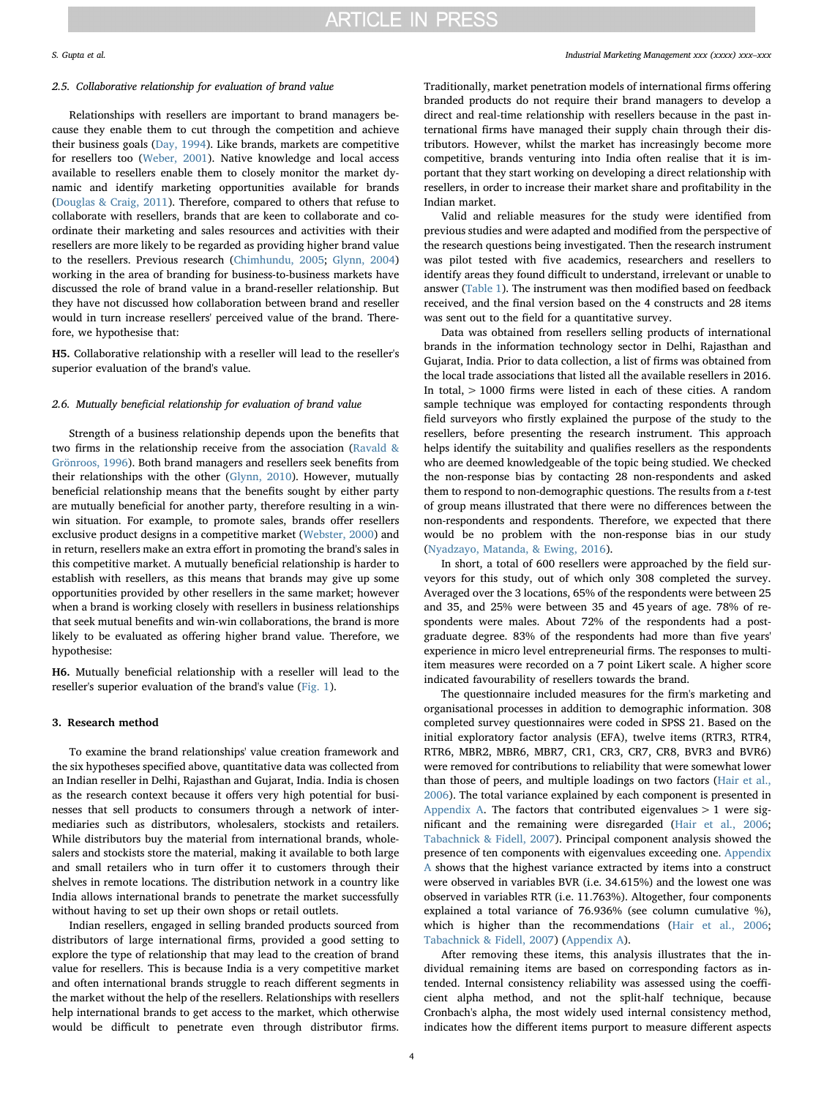#### 2.5. Collaborative relationship for evaluation of brand value

Relationships with resellers are important to brand managers because they enable them to cut through the competition and achieve their business goals [\(Day, 1994](#page-9-21)). Like brands, markets are competitive for resellers too [\(Weber, 2001](#page-10-10)). Native knowledge and local access available to resellers enable them to closely monitor the market dynamic and identify marketing opportunities available for brands ([Douglas & Craig, 2011\)](#page-9-45). Therefore, compared to others that refuse to collaborate with resellers, brands that are keen to collaborate and coordinate their marketing and sales resources and activities with their resellers are more likely to be regarded as providing higher brand value to the resellers. Previous research [\(Chimhundu, 2005](#page-9-46); [Glynn, 2004\)](#page-9-24) working in the area of branding for business-to-business markets have discussed the role of brand value in a brand-reseller relationship. But they have not discussed how collaboration between brand and reseller would in turn increase resellers' perceived value of the brand. Therefore, we hypothesise that:

<span id="page-3-0"></span>H5. Collaborative relationship with a reseller will lead to the reseller's superior evaluation of the brand's value.

#### 2.6. Mutually beneficial relationship for evaluation of brand value

Strength of a business relationship depends upon the benefits that two firms in the relationship receive from the association [\(Ravald &](#page-9-47) [Grönroos, 1996\)](#page-9-47). Both brand managers and resellers seek benefits from their relationships with the other [\(Glynn, 2010\)](#page-9-48). However, mutually beneficial relationship means that the benefits sought by either party are mutually beneficial for another party, therefore resulting in a winwin situation. For example, to promote sales, brands offer resellers exclusive product designs in a competitive market [\(Webster, 2000](#page-10-1)) and in return, resellers make an extra effort in promoting the brand's sales in this competitive market. A mutually beneficial relationship is harder to establish with resellers, as this means that brands may give up some opportunities provided by other resellers in the same market; however when a brand is working closely with resellers in business relationships that seek mutual benefits and win-win collaborations, the brand is more likely to be evaluated as offering higher brand value. Therefore, we hypothesise:

<span id="page-3-1"></span>H6. Mutually beneficial relationship with a reseller will lead to the reseller's superior evaluation of the brand's value [\(Fig. 1](#page-4-0)).

### 3. Research method

To examine the brand relationships' value creation framework and the six hypotheses specified above, quantitative data was collected from an Indian reseller in Delhi, Rajasthan and Gujarat, India. India is chosen as the research context because it offers very high potential for businesses that sell products to consumers through a network of intermediaries such as distributors, wholesalers, stockists and retailers. While distributors buy the material from international brands, wholesalers and stockists store the material, making it available to both large and small retailers who in turn offer it to customers through their shelves in remote locations. The distribution network in a country like India allows international brands to penetrate the market successfully without having to set up their own shops or retail outlets.

Indian resellers, engaged in selling branded products sourced from distributors of large international firms, provided a good setting to explore the type of relationship that may lead to the creation of brand value for resellers. This is because India is a very competitive market and often international brands struggle to reach different segments in the market without the help of the resellers. Relationships with resellers help international brands to get access to the market, which otherwise would be difficult to penetrate even through distributor firms.

### S. Gupta et al. *Industrial Marketing Management xxx (xxxx) xxx–xxx*

Traditionally, market penetration models of international firms offering branded products do not require their brand managers to develop a direct and real-time relationship with resellers because in the past international firms have managed their supply chain through their distributors. However, whilst the market has increasingly become more competitive, brands venturing into India often realise that it is important that they start working on developing a direct relationship with resellers, in order to increase their market share and profitability in the Indian market.

Valid and reliable measures for the study were identified from previous studies and were adapted and modified from the perspective of the research questions being investigated. Then the research instrument was pilot tested with five academics, researchers and resellers to identify areas they found difficult to understand, irrelevant or unable to answer ([Table 1\)](#page-5-0). The instrument was then modified based on feedback received, and the final version based on the 4 constructs and 28 items was sent out to the field for a quantitative survey.

Data was obtained from resellers selling products of international brands in the information technology sector in Delhi, Rajasthan and Gujarat, India. Prior to data collection, a list of firms was obtained from the local trade associations that listed all the available resellers in 2016. In total, > 1000 firms were listed in each of these cities. A random sample technique was employed for contacting respondents through field surveyors who firstly explained the purpose of the study to the resellers, before presenting the research instrument. This approach helps identify the suitability and qualifies resellers as the respondents who are deemed knowledgeable of the topic being studied. We checked the non-response bias by contacting 28 non-respondents and asked them to respond to non-demographic questions. The results from a t-test of group means illustrated that there were no differences between the non-respondents and respondents. Therefore, we expected that there would be no problem with the non-response bias in our study ([Nyadzayo, Matanda, & Ewing, 2016](#page-9-49)).

In short, a total of 600 resellers were approached by the field surveyors for this study, out of which only 308 completed the survey. Averaged over the 3 locations, 65% of the respondents were between 25 and 35, and 25% were between 35 and 45 years of age. 78% of respondents were males. About 72% of the respondents had a postgraduate degree. 83% of the respondents had more than five years' experience in micro level entrepreneurial firms. The responses to multiitem measures were recorded on a 7 point Likert scale. A higher score indicated favourability of resellers towards the brand.

The questionnaire included measures for the firm's marketing and organisational processes in addition to demographic information. 308 completed survey questionnaires were coded in SPSS 21. Based on the initial exploratory factor analysis (EFA), twelve items (RTR3, RTR4, RTR6, MBR2, MBR6, MBR7, CR1, CR3, CR7, CR8, BVR3 and BVR6) were removed for contributions to reliability that were somewhat lower than those of peers, and multiple loadings on two factors ([Hair et al.,](#page-9-50) [2006\)](#page-9-50). The total variance explained by each component is presented in [Appendix A.](#page-8-0) The factors that contributed eigenvalues  $> 1$  were significant and the remaining were disregarded [\(Hair et al., 2006](#page-9-50); [Tabachnick & Fidell, 2007](#page-10-11)). Principal component analysis showed the presence of ten components with eigenvalues exceeding one. [Appendix](#page-8-0) [A](#page-8-0) shows that the highest variance extracted by items into a construct were observed in variables BVR (i.e. 34.615%) and the lowest one was observed in variables RTR (i.e. 11.763%). Altogether, four components explained a total variance of 76.936% (see column cumulative %), which is higher than the recommendations [\(Hair et al., 2006](#page-9-50); [Tabachnick & Fidell, 2007\)](#page-10-11) [\(Appendix A](#page-8-0)).

After removing these items, this analysis illustrates that the individual remaining items are based on corresponding factors as intended. Internal consistency reliability was assessed using the coefficient alpha method, and not the split-half technique, because Cronbach's alpha, the most widely used internal consistency method, indicates how the different items purport to measure different aspects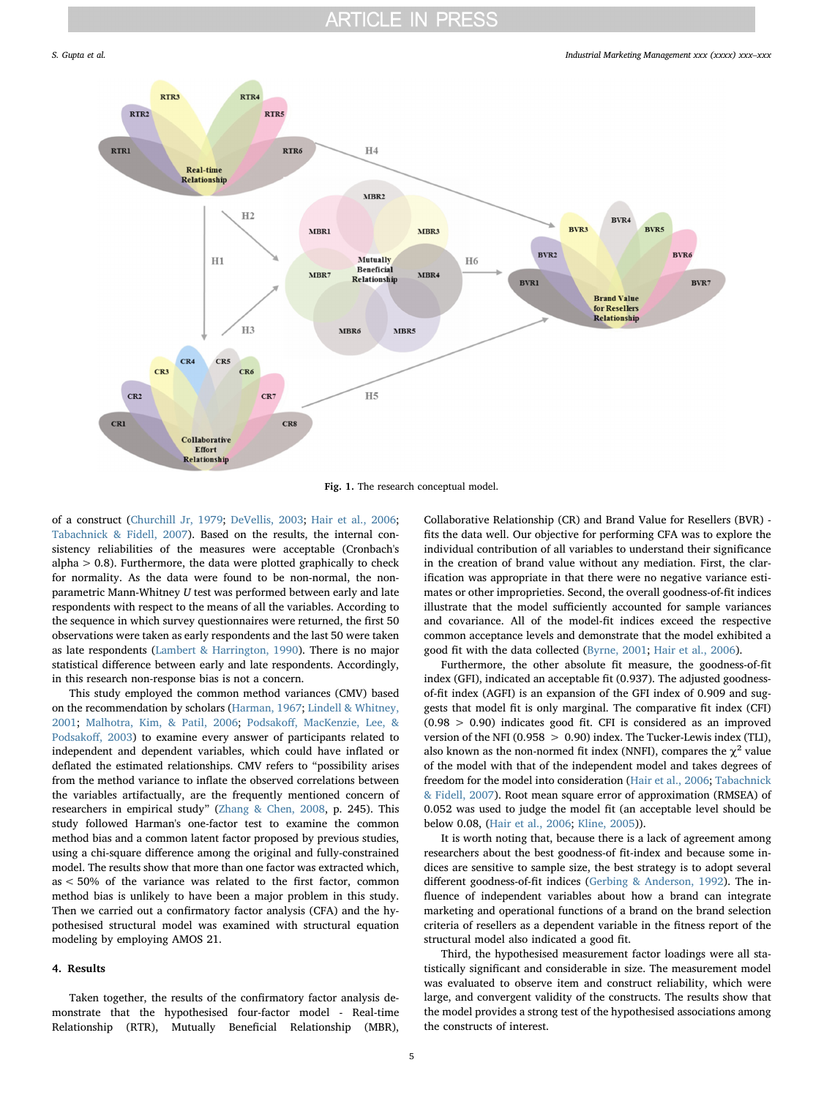<span id="page-4-0"></span>

Fig. 1. The research conceptual model.

of a construct [\(Churchill Jr, 1979](#page-9-51); [DeVellis, 2003](#page-9-52); [Hair et al., 2006](#page-9-50); [Tabachnick & Fidell, 2007\)](#page-10-11). Based on the results, the internal consistency reliabilities of the measures were acceptable (Cronbach's alpha  $> 0.8$ ). Furthermore, the data were plotted graphically to check for normality. As the data were found to be non-normal, the nonparametric Mann-Whitney U test was performed between early and late respondents with respect to the means of all the variables. According to the sequence in which survey questionnaires were returned, the first 50 observations were taken as early respondents and the last 50 were taken as late respondents [\(Lambert & Harrington, 1990\)](#page-9-53). There is no major statistical difference between early and late respondents. Accordingly, in this research non-response bias is not a concern.

This study employed the common method variances (CMV) based on the recommendation by scholars ([Harman, 1967](#page-9-54); [Lindell & Whitney,](#page-9-55) [2001;](#page-9-55) [Malhotra, Kim, & Patil, 2006](#page-9-56); Podsakoff[, MacKenzie, Lee, &](#page-9-57) [Podsako](#page-9-57)ff, 2003) to examine every answer of participants related to independent and dependent variables, which could have inflated or deflated the estimated relationships. CMV refers to "possibility arises from the method variance to inflate the observed correlations between the variables artifactually, are the frequently mentioned concern of researchers in empirical study" [\(Zhang & Chen, 2008,](#page-10-12) p. 245). This study followed Harman's one-factor test to examine the common method bias and a common latent factor proposed by previous studies, using a chi-square difference among the original and fully-constrained model. The results show that more than one factor was extracted which, as < 50% of the variance was related to the first factor, common method bias is unlikely to have been a major problem in this study. Then we carried out a confirmatory factor analysis (CFA) and the hypothesised structural model was examined with structural equation modeling by employing AMOS 21.

#### 4. Results

Taken together, the results of the confirmatory factor analysis demonstrate that the hypothesised four-factor model - Real-time Relationship (RTR), Mutually Beneficial Relationship (MBR),

Collaborative Relationship (CR) and Brand Value for Resellers (BVR) fits the data well. Our objective for performing CFA was to explore the individual contribution of all variables to understand their significance in the creation of brand value without any mediation. First, the clarification was appropriate in that there were no negative variance estimates or other improprieties. Second, the overall goodness-of-fit indices illustrate that the model sufficiently accounted for sample variances and covariance. All of the model-fit indices exceed the respective common acceptance levels and demonstrate that the model exhibited a good fit with the data collected ([Byrne, 2001](#page-9-58); [Hair et al., 2006\)](#page-9-50).

Furthermore, the other absolute fit measure, the goodness-of-fit index (GFI), indicated an acceptable fit (0.937). The adjusted goodnessof-fit index (AGFI) is an expansion of the GFI index of 0.909 and suggests that model fit is only marginal. The comparative fit index (CFI) (0.98 > 0.90) indicates good fit. CFI is considered as an improved version of the NFI (0.958 > 0.90) index. The Tucker-Lewis index (TLI), also known as the non-normed fit index (NNFI), compares the  $\chi^2$  value of the model with that of the independent model and takes degrees of freedom for the model into consideration ([Hair et al., 2006;](#page-9-50) [Tabachnick](#page-10-11) [& Fidell, 2007](#page-10-11)). Root mean square error of approximation (RMSEA) of 0.052 was used to judge the model fit (an acceptable level should be below 0.08, [\(Hair et al., 2006](#page-9-50); [Kline, 2005](#page-9-59))).

It is worth noting that, because there is a lack of agreement among researchers about the best goodness-of fit-index and because some indices are sensitive to sample size, the best strategy is to adopt several different goodness-of-fit indices [\(Gerbing & Anderson, 1992](#page-9-60)). The influence of independent variables about how a brand can integrate marketing and operational functions of a brand on the brand selection criteria of resellers as a dependent variable in the fitness report of the structural model also indicated a good fit.

Third, the hypothesised measurement factor loadings were all statistically significant and considerable in size. The measurement model was evaluated to observe item and construct reliability, which were large, and convergent validity of the constructs. The results show that the model provides a strong test of the hypothesised associations among the constructs of interest.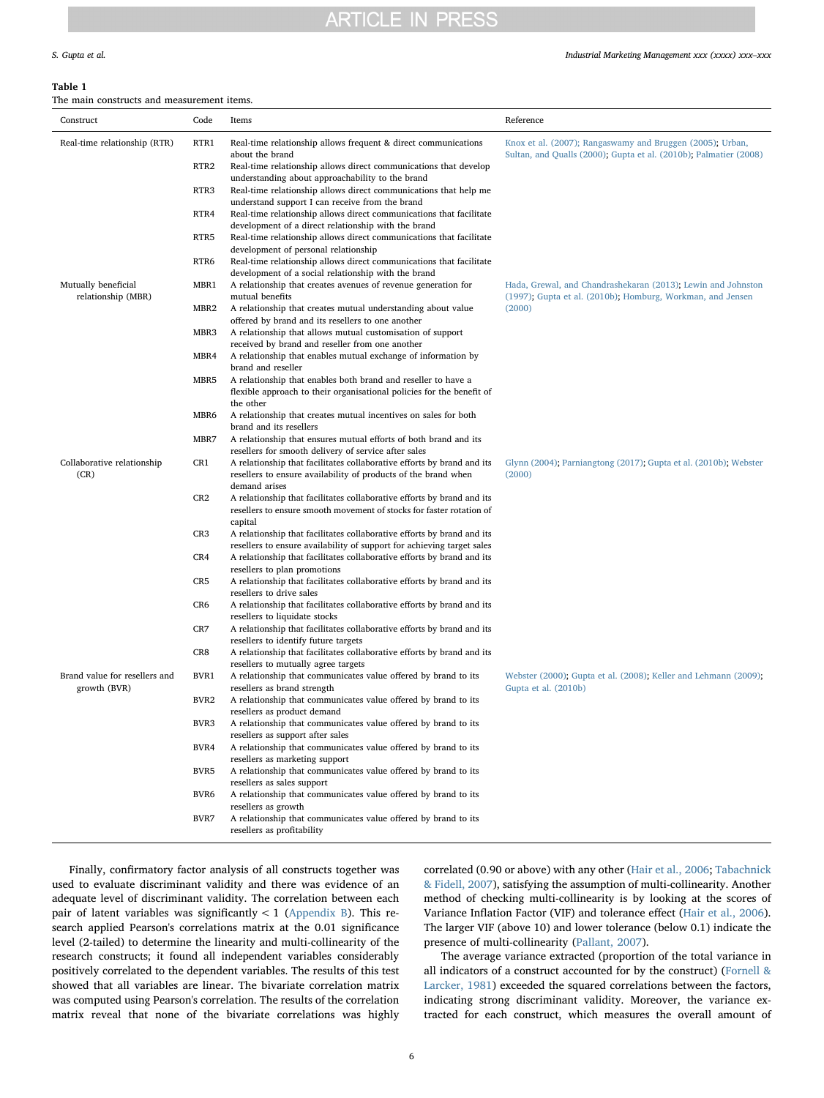#### S. Gupta et al. *Industrial Marketing Management xxx (xxxx) xxx–xxx*

#### <span id="page-5-0"></span>Table 1

The main constructs and measurement items.

| Construct                                 | Code             | Items                                                                                                                                                           | Reference                                                                                                                      |  |  |  |
|-------------------------------------------|------------------|-----------------------------------------------------------------------------------------------------------------------------------------------------------------|--------------------------------------------------------------------------------------------------------------------------------|--|--|--|
| Real-time relationship (RTR)              | RTR1             | Real-time relationship allows frequent & direct communications<br>about the brand                                                                               | Knox et al. (2007); Rangaswamy and Bruggen (2005); Urban,<br>Sultan, and Qualls (2000); Gupta et al. (2010b); Palmatier (2008) |  |  |  |
|                                           | RTR <sub>2</sub> | Real-time relationship allows direct communications that develop<br>understanding about approachability to the brand                                            |                                                                                                                                |  |  |  |
|                                           | RTR3             | Real-time relationship allows direct communications that help me<br>understand support I can receive from the brand                                             |                                                                                                                                |  |  |  |
|                                           | RTR4             | Real-time relationship allows direct communications that facilitate<br>development of a direct relationship with the brand                                      |                                                                                                                                |  |  |  |
|                                           | RTR5             | Real-time relationship allows direct communications that facilitate<br>development of personal relationship                                                     |                                                                                                                                |  |  |  |
|                                           | RTR6             | Real-time relationship allows direct communications that facilitate<br>development of a social relationship with the brand                                      |                                                                                                                                |  |  |  |
| Mutually beneficial<br>relationship (MBR) | MBR1             | A relationship that creates avenues of revenue generation for<br>mutual benefits                                                                                | Hada, Grewal, and Chandrashekaran (2013); Lewin and Johnston<br>(1997); Gupta et al. (2010b); Homburg, Workman, and Jensen     |  |  |  |
|                                           | MBR <sub>2</sub> | A relationship that creates mutual understanding about value<br>offered by brand and its resellers to one another                                               | (2000)                                                                                                                         |  |  |  |
|                                           | MBR3             | A relationship that allows mutual customisation of support<br>received by brand and reseller from one another                                                   |                                                                                                                                |  |  |  |
|                                           | MBR4             | A relationship that enables mutual exchange of information by<br>brand and reseller                                                                             |                                                                                                                                |  |  |  |
|                                           | MBR5             | A relationship that enables both brand and reseller to have a<br>flexible approach to their organisational policies for the benefit of                          |                                                                                                                                |  |  |  |
|                                           | MBR6             | the other<br>A relationship that creates mutual incentives on sales for both<br>brand and its resellers                                                         |                                                                                                                                |  |  |  |
|                                           | MBR7             | A relationship that ensures mutual efforts of both brand and its<br>resellers for smooth delivery of service after sales                                        |                                                                                                                                |  |  |  |
| Collaborative relationship<br>(CR)        | CR1              | A relationship that facilitates collaborative efforts by brand and its<br>resellers to ensure availability of products of the brand when<br>demand arises       | Glynn (2004); Parniangtong (2017); Gupta et al. (2010b); Webster<br>(2000)                                                     |  |  |  |
|                                           | CR2              | A relationship that facilitates collaborative efforts by brand and its<br>resellers to ensure smooth movement of stocks for faster rotation of<br>capital       |                                                                                                                                |  |  |  |
|                                           | CR <sub>3</sub>  | A relationship that facilitates collaborative efforts by brand and its<br>resellers to ensure availability of support for achieving target sales                |                                                                                                                                |  |  |  |
|                                           | CR4              | A relationship that facilitates collaborative efforts by brand and its<br>resellers to plan promotions                                                          |                                                                                                                                |  |  |  |
|                                           | CR <sub>5</sub>  | A relationship that facilitates collaborative efforts by brand and its<br>resellers to drive sales                                                              |                                                                                                                                |  |  |  |
|                                           | CR6              | A relationship that facilitates collaborative efforts by brand and its<br>resellers to liquidate stocks                                                         |                                                                                                                                |  |  |  |
|                                           | CR7              | A relationship that facilitates collaborative efforts by brand and its<br>resellers to identify future targets                                                  |                                                                                                                                |  |  |  |
| Brand value for resellers and             | CR8              | A relationship that facilitates collaborative efforts by brand and its<br>resellers to mutually agree targets                                                   |                                                                                                                                |  |  |  |
| growth (BVR)                              | BVR1<br>BVR2     | A relationship that communicates value offered by brand to its<br>resellers as brand strength<br>A relationship that communicates value offered by brand to its | Webster (2000); Gupta et al. (2008); Keller and Lehmann (2009);<br>Gupta et al. (2010b)                                        |  |  |  |
|                                           | BVR3             | resellers as product demand<br>A relationship that communicates value offered by brand to its                                                                   |                                                                                                                                |  |  |  |
|                                           | BVR4             | resellers as support after sales<br>A relationship that communicates value offered by brand to its                                                              |                                                                                                                                |  |  |  |
|                                           | BVR5             | resellers as marketing support<br>A relationship that communicates value offered by brand to its                                                                |                                                                                                                                |  |  |  |
|                                           | BVR6             | resellers as sales support<br>A relationship that communicates value offered by brand to its                                                                    |                                                                                                                                |  |  |  |
|                                           | BVR7             | resellers as growth<br>A relationship that communicates value offered by brand to its<br>resellers as profitability                                             |                                                                                                                                |  |  |  |
|                                           |                  |                                                                                                                                                                 |                                                                                                                                |  |  |  |

Finally, confirmatory factor analysis of all constructs together was used to evaluate discriminant validity and there was evidence of an adequate level of discriminant validity. The correlation between each pair of latent variables was significantly  $< 1$  ([Appendix B](#page-8-1)). This research applied Pearson's correlations matrix at the 0.01 significance level (2-tailed) to determine the linearity and multi-collinearity of the research constructs; it found all independent variables considerably positively correlated to the dependent variables. The results of this test showed that all variables are linear. The bivariate correlation matrix was computed using Pearson's correlation. The results of the correlation matrix reveal that none of the bivariate correlations was highly

correlated (0.90 or above) with any other [\(Hair et al., 2006](#page-9-50); [Tabachnick](#page-10-11) [& Fidell, 2007](#page-10-11)), satisfying the assumption of multi-collinearity. Another method of checking multi-collinearity is by looking at the scores of Variance Inflation Factor (VIF) and tolerance effect ([Hair et al., 2006](#page-9-50)). The larger VIF (above 10) and lower tolerance (below 0.1) indicate the presence of multi-collinearity ([Pallant, 2007](#page-9-61)).

The average variance extracted (proportion of the total variance in all indicators of a construct accounted for by the construct) ([Fornell &](#page-9-62) [Larcker, 1981\)](#page-9-62) exceeded the squared correlations between the factors, indicating strong discriminant validity. Moreover, the variance extracted for each construct, which measures the overall amount of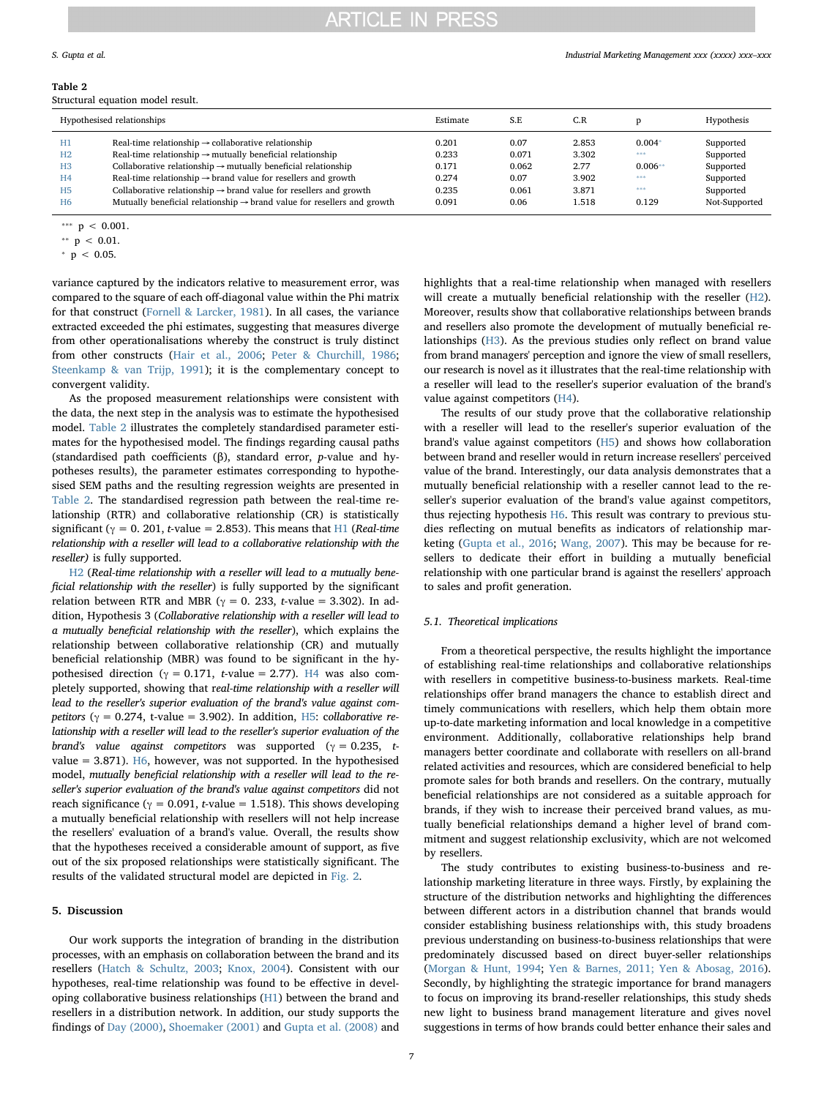#### S. Gupta et al. *Industrial Marketing Management xxx (xxxx) xxx–xxx*

#### <span id="page-6-0"></span>Table 2

Structural equation model result.

|                                  | Hypothesised relationships                                                                                                                                 | Estimate       | S.E            | C.R            |                 | Hypothesis             |
|----------------------------------|------------------------------------------------------------------------------------------------------------------------------------------------------------|----------------|----------------|----------------|-----------------|------------------------|
| H1                               | Real-time relationship $\rightarrow$ collaborative relationship                                                                                            | 0.201          | 0.07           | 2.853          | $0.004*$<br>*** | Supported              |
| H <sub>2</sub><br>H <sub>3</sub> | Real-time relationship $\rightarrow$ mutually beneficial relationship<br>Collaborative relationship $\rightarrow$ mutually beneficial relationship         | 0.233<br>0.171 | 0.071<br>0.062 | 3.302<br>2.77  | $0.006**$       | Supported<br>Supported |
| H <sub>4</sub><br>H <sub>5</sub> | Real-time relationship $\rightarrow$ brand value for resellers and growth<br>Collaborative relationship $\rightarrow$ brand value for resellers and growth | 0.274<br>0.235 | 0.07<br>0.061  | 3.902<br>3.871 | ***<br>***      | Supported<br>Supported |
| H <sub>6</sub>                   | Mutually beneficial relationship $\rightarrow$ brand value for resellers and growth                                                                        | 0.091          | 0.06           | 1.518          | 0.129           | Not-Supported          |

<span id="page-6-2"></span> $p < 0.001$ .

variance captured by the indicators relative to measurement error, was compared to the square of each off-diagonal value within the Phi matrix for that construct ([Fornell & Larcker, 1981\)](#page-9-62). In all cases, the variance extracted exceeded the phi estimates, suggesting that measures diverge from other operationalisations whereby the construct is truly distinct from other constructs [\(Hair et al., 2006;](#page-9-50) [Peter & Churchill, 1986](#page-9-66); [Steenkamp & van Trijp, 1991](#page-10-14)); it is the complementary concept to convergent validity.

As the proposed measurement relationships were consistent with the data, the next step in the analysis was to estimate the hypothesised model. [Table 2](#page-6-0) illustrates the completely standardised parameter estimates for the hypothesised model. The findings regarding causal paths (standardised path coefficients (β), standard error, p-value and hypotheses results), the parameter estimates corresponding to hypothesised SEM paths and the resulting regression weights are presented in [Table 2](#page-6-0). The standardised regression path between the real-time relationship (RTR) and collaborative relationship (CR) is statistically significant ( $\gamma = 0$ . 201, t-value = 2.853). This means that [H1](#page-2-0) (Real-time relationship with a reseller will lead to a collaborative relationship with the reseller) is fully supported.

[H2](#page-2-1) (Real-time relationship with a reseller will lead to a mutually beneficial relationship with the reseller) is fully supported by the significant relation between RTR and MBR ( $\gamma = 0$ . 233, t-value = 3.302). In addition, Hypothesis 3 (Collaborative relationship with a reseller will lead to a mutually beneficial relationship with the reseller), which explains the relationship between collaborative relationship (CR) and mutually beneficial relationship (MBR) was found to be significant in the hypothesised direction ( $\gamma = 0.171$ , t-value = 2.77). [H4](#page-2-2) was also completely supported, showing that real-time relationship with a reseller will lead to the reseller's superior evaluation of the brand's value against competitors ( $\gamma = 0.274$ , t-value = 3.902). In addition, [H5](#page-3-0): collaborative relationship with a reseller will lead to the reseller's superior evaluation of the brand's value against competitors was supported ( $\gamma = 0.235$ , t-value = 3.871). [H6,](#page-3-1) however, was not supported. In the hypothesised model, mutually beneficial relationship with a reseller will lead to the reseller's superior evaluation of the brand's value against competitors did not reach significance ( $\gamma = 0.091$ , t-value = 1.518). This shows developing a mutually beneficial relationship with resellers will not help increase the resellers' evaluation of a brand's value. Overall, the results show that the hypotheses received a considerable amount of support, as five out of the six proposed relationships were statistically significant. The results of the validated structural model are depicted in [Fig. 2.](#page-7-0)

### 5. Discussion

Our work supports the integration of branding in the distribution processes, with an emphasis on collaboration between the brand and its resellers ([Hatch & Schultz, 2003](#page-9-67); [Knox, 2004\)](#page-9-68). Consistent with our hypotheses, real-time relationship was found to be effective in developing collaborative business relationships ([H1](#page-2-0)) between the brand and resellers in a distribution network. In addition, our study supports the findings of [Day \(2000\),](#page-9-69) [Shoemaker \(2001\)](#page-10-15) and [Gupta et al. \(2008\)](#page-9-13) and

highlights that a real-time relationship when managed with resellers will create a mutually beneficial relationship with the reseller [\(H2](#page-2-1)). Moreover, results show that collaborative relationships between brands and resellers also promote the development of mutually beneficial relationships [\(H3\)](#page-2-3). As the previous studies only reflect on brand value from brand managers' perception and ignore the view of small resellers, our research is novel as it illustrates that the real-time relationship with a reseller will lead to the reseller's superior evaluation of the brand's value against competitors [\(H4\)](#page-2-2).

The results of our study prove that the collaborative relationship with a reseller will lead to the reseller's superior evaluation of the brand's value against competitors [\(H5\)](#page-3-0) and shows how collaboration between brand and reseller would in return increase resellers' perceived value of the brand. Interestingly, our data analysis demonstrates that a mutually beneficial relationship with a reseller cannot lead to the reseller's superior evaluation of the brand's value against competitors, thus rejecting hypothesis [H6](#page-3-1). This result was contrary to previous studies reflecting on mutual benefits as indicators of relationship marketing ([Gupta et al., 2016](#page-9-6); [Wang, 2007\)](#page-10-16). This may be because for resellers to dedicate their effort in building a mutually beneficial relationship with one particular brand is against the resellers' approach to sales and profit generation.

### 5.1. Theoretical implications

From a theoretical perspective, the results highlight the importance of establishing real-time relationships and collaborative relationships with resellers in competitive business-to-business markets. Real-time relationships offer brand managers the chance to establish direct and timely communications with resellers, which help them obtain more up-to-date marketing information and local knowledge in a competitive environment. Additionally, collaborative relationships help brand managers better coordinate and collaborate with resellers on all-brand related activities and resources, which are considered beneficial to help promote sales for both brands and resellers. On the contrary, mutually beneficial relationships are not considered as a suitable approach for brands, if they wish to increase their perceived brand values, as mutually beneficial relationships demand a higher level of brand commitment and suggest relationship exclusivity, which are not welcomed by resellers.

The study contributes to existing business-to-business and relationship marketing literature in three ways. Firstly, by explaining the structure of the distribution networks and highlighting the differences between different actors in a distribution channel that brands would consider establishing business relationships with, this study broadens previous understanding on business-to-business relationships that were predominately discussed based on direct buyer-seller relationships ([Morgan & Hunt, 1994](#page-9-16); [Yen & Barnes, 2011; Yen & Abosag, 2016](#page-10-7)). Secondly, by highlighting the strategic importance for brand managers to focus on improving its brand-reseller relationships, this study sheds new light to business brand management literature and gives novel suggestions in terms of how brands could better enhance their sales and

<span id="page-6-3"></span><sup>\*\*</sup>  $p$  < 0.01.

<span id="page-6-1"></span> $p < 0.05$ .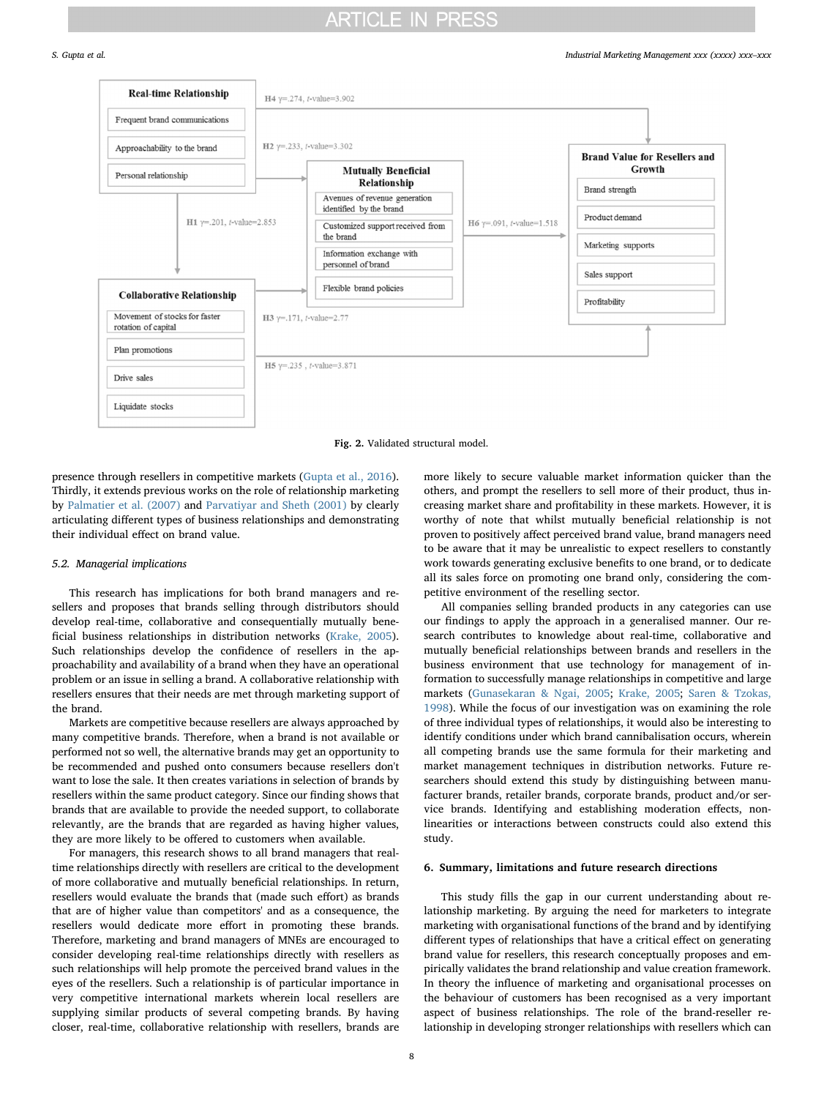<span id="page-7-0"></span>

Fig. 2. Validated structural model.

presence through resellers in competitive markets [\(Gupta et al., 2016](#page-9-6)). Thirdly, it extends previous works on the role of relationship marketing by [Palmatier et al. \(2007\)](#page-9-15) and [Parvatiyar and Sheth \(2001\)](#page-9-70) by clearly articulating different types of business relationships and demonstrating their individual effect on brand value.

### 5.2. Managerial implications

This research has implications for both brand managers and resellers and proposes that brands selling through distributors should develop real-time, collaborative and consequentially mutually beneficial business relationships in distribution networks ([Krake, 2005](#page-9-71)). Such relationships develop the confidence of resellers in the approachability and availability of a brand when they have an operational problem or an issue in selling a brand. A collaborative relationship with resellers ensures that their needs are met through marketing support of the brand.

Markets are competitive because resellers are always approached by many competitive brands. Therefore, when a brand is not available or performed not so well, the alternative brands may get an opportunity to be recommended and pushed onto consumers because resellers don't want to lose the sale. It then creates variations in selection of brands by resellers within the same product category. Since our finding shows that brands that are available to provide the needed support, to collaborate relevantly, are the brands that are regarded as having higher values, they are more likely to be offered to customers when available.

For managers, this research shows to all brand managers that realtime relationships directly with resellers are critical to the development of more collaborative and mutually beneficial relationships. In return, resellers would evaluate the brands that (made such effort) as brands that are of higher value than competitors' and as a consequence, the resellers would dedicate more effort in promoting these brands. Therefore, marketing and brand managers of MNEs are encouraged to consider developing real-time relationships directly with resellers as such relationships will help promote the perceived brand values in the eyes of the resellers. Such a relationship is of particular importance in very competitive international markets wherein local resellers are supplying similar products of several competing brands. By having closer, real-time, collaborative relationship with resellers, brands are more likely to secure valuable market information quicker than the others, and prompt the resellers to sell more of their product, thus increasing market share and profitability in these markets. However, it is worthy of note that whilst mutually beneficial relationship is not proven to positively affect perceived brand value, brand managers need to be aware that it may be unrealistic to expect resellers to constantly work towards generating exclusive benefits to one brand, or to dedicate all its sales force on promoting one brand only, considering the competitive environment of the reselling sector.

All companies selling branded products in any categories can use our findings to apply the approach in a generalised manner. Our research contributes to knowledge about real-time, collaborative and mutually beneficial relationships between brands and resellers in the business environment that use technology for management of information to successfully manage relationships in competitive and large markets ([Gunasekaran & Ngai, 2005](#page-9-8); [Krake, 2005;](#page-9-71) [Saren & Tzokas,](#page-10-0) [1998\)](#page-10-0). While the focus of our investigation was on examining the role of three individual types of relationships, it would also be interesting to identify conditions under which brand cannibalisation occurs, wherein all competing brands use the same formula for their marketing and market management techniques in distribution networks. Future researchers should extend this study by distinguishing between manufacturer brands, retailer brands, corporate brands, product and/or service brands. Identifying and establishing moderation effects, nonlinearities or interactions between constructs could also extend this study.

### 6. Summary, limitations and future research directions

This study fills the gap in our current understanding about relationship marketing. By arguing the need for marketers to integrate marketing with organisational functions of the brand and by identifying different types of relationships that have a critical effect on generating brand value for resellers, this research conceptually proposes and empirically validates the brand relationship and value creation framework. In theory the influence of marketing and organisational processes on the behaviour of customers has been recognised as a very important aspect of business relationships. The role of the brand-reseller relationship in developing stronger relationships with resellers which can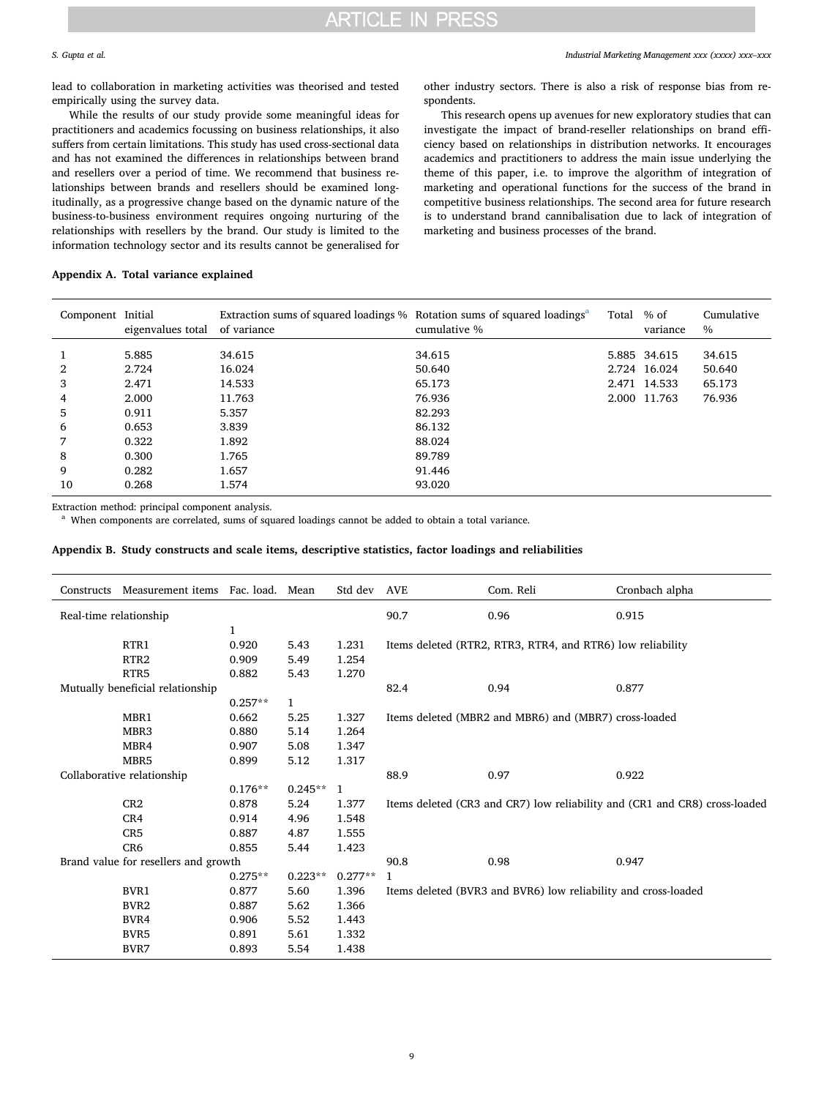lead to collaboration in marketing activities was theorised and tested empirically using the survey data.

While the results of our study provide some meaningful ideas for practitioners and academics focussing on business relationships, it also suffers from certain limitations. This study has used cross-sectional data and has not examined the differences in relationships between brand and resellers over a period of time. We recommend that business relationships between brands and resellers should be examined longitudinally, as a progressive change based on the dynamic nature of the business-to-business environment requires ongoing nurturing of the relationships with resellers by the brand. Our study is limited to the information technology sector and its results cannot be generalised for

other industry sectors. There is also a risk of response bias from respondents.

This research opens up avenues for new exploratory studies that can investigate the impact of brand-reseller relationships on brand efficiency based on relationships in distribution networks. It encourages academics and practitioners to address the main issue underlying the theme of this paper, i.e. to improve the algorithm of integration of marketing and operational functions for the success of the brand in competitive business relationships. The second area for future research is to understand brand cannibalisation due to lack of integration of marketing and business processes of the brand.

### <span id="page-8-0"></span>Appendix A. Total variance explained

| Component Initial | eigenvalues total | Extraction sums of squared loadings % Rotation sums of squared loadings <sup>a</sup><br>of variance | cumulative % | Total | $%$ of<br>variance | Cumulative<br>$\%$ |
|-------------------|-------------------|-----------------------------------------------------------------------------------------------------|--------------|-------|--------------------|--------------------|
|                   | 5.885             | 34.615                                                                                              | 34.615       |       | 5.885 34.615       | 34.615             |
| 2                 | 2.724             | 16.024                                                                                              | 50.640       |       | 2.724 16.024       | 50.640             |
| 3                 | 2.471             | 14.533                                                                                              | 65.173       |       | 2.471 14.533       | 65.173             |
| 4                 | 2.000             | 11.763                                                                                              | 76.936       |       | 2.000 11.763       | 76.936             |
| 5                 | 0.911             | 5.357                                                                                               | 82.293       |       |                    |                    |
| 6                 | 0.653             | 3.839                                                                                               | 86.132       |       |                    |                    |
| 7                 | 0.322             | 1.892                                                                                               | 88.024       |       |                    |                    |
| 8                 | 0.300             | 1.765                                                                                               | 89.789       |       |                    |                    |
| 9                 | 0.282             | 1.657                                                                                               | 91.446       |       |                    |                    |
| 10                | 0.268             | 1.574                                                                                               | 93.020       |       |                    |                    |

Extraction method: principal component analysis.

<span id="page-8-2"></span>When components are correlated, sums of squared loadings cannot be added to obtain a total variance.

#### <span id="page-8-1"></span>Appendix B. Study constructs and scale items, descriptive statistics, factor loadings and reliabilities

| Constructs             | Measurement items Fac. load. Mean    |           |              | Std dev      | AVE                                                                        | Com. Reli | Cronbach alpha |  |
|------------------------|--------------------------------------|-----------|--------------|--------------|----------------------------------------------------------------------------|-----------|----------------|--|
| Real-time relationship |                                      |           |              |              | 90.7                                                                       | 0.96      | 0.915          |  |
| $\mathbf{1}$           |                                      |           |              |              |                                                                            |           |                |  |
|                        | RTR1                                 | 0.920     | 5.43         | 1.231        | Items deleted (RTR2, RTR3, RTR4, and RTR6) low reliability                 |           |                |  |
|                        | RTR <sub>2</sub>                     | 0.909     | 5.49         | 1.254        |                                                                            |           |                |  |
|                        | RTR <sub>5</sub>                     | 0.882     | 5.43         | 1.270        |                                                                            |           |                |  |
|                        | Mutually beneficial relationship     |           |              |              | 82.4                                                                       | 0.94      | 0.877          |  |
|                        |                                      | $0.257**$ | $\mathbf{1}$ |              |                                                                            |           |                |  |
|                        | MBR1                                 | 0.662     | 5.25         | 1.327        | Items deleted (MBR2 and MBR6) and (MBR7) cross-loaded                      |           |                |  |
|                        | MBR <sub>3</sub>                     | 0.880     | 5.14         | 1.264        |                                                                            |           |                |  |
|                        | MBR4                                 | 0.907     | 5.08         | 1.347        |                                                                            |           |                |  |
|                        | MBR5                                 | 0.899     | 5.12         | 1.317        |                                                                            |           |                |  |
|                        | Collaborative relationship           |           |              |              | 88.9                                                                       | 0.97      | 0.922          |  |
|                        |                                      | $0.176**$ | $0.245**$    | $\mathbf{1}$ |                                                                            |           |                |  |
|                        | CR2                                  | 0.878     | 5.24         | 1.377        | Items deleted (CR3 and CR7) low reliability and (CR1 and CR8) cross-loaded |           |                |  |
|                        | CR4                                  | 0.914     | 4.96         | 1.548        |                                                                            |           |                |  |
|                        | CR <sub>5</sub>                      | 0.887     | 4.87         | 1.555        |                                                                            |           |                |  |
|                        | CR <sub>6</sub>                      | 0.855     | 5.44         | 1.423        |                                                                            |           |                |  |
|                        | Brand value for resellers and growth |           |              |              | 90.8                                                                       | 0.98      | 0.947          |  |
|                        |                                      | $0.275**$ | $0.223**$    | $0.277**$    | 1                                                                          |           |                |  |
|                        | BVR1                                 | 0.877     | 5.60         | 1.396        | Items deleted (BVR3 and BVR6) low reliability and cross-loaded             |           |                |  |
|                        | BVR <sub>2</sub>                     | 0.887     | 5.62         | 1.366        |                                                                            |           |                |  |
|                        | BVR4                                 | 0.906     | 5.52         | 1.443        |                                                                            |           |                |  |
|                        | BVR5                                 | 0.891     | 5.61         | 1.332        |                                                                            |           |                |  |
|                        | BVR7                                 | 0.893     | 5.54         | 1.438        |                                                                            |           |                |  |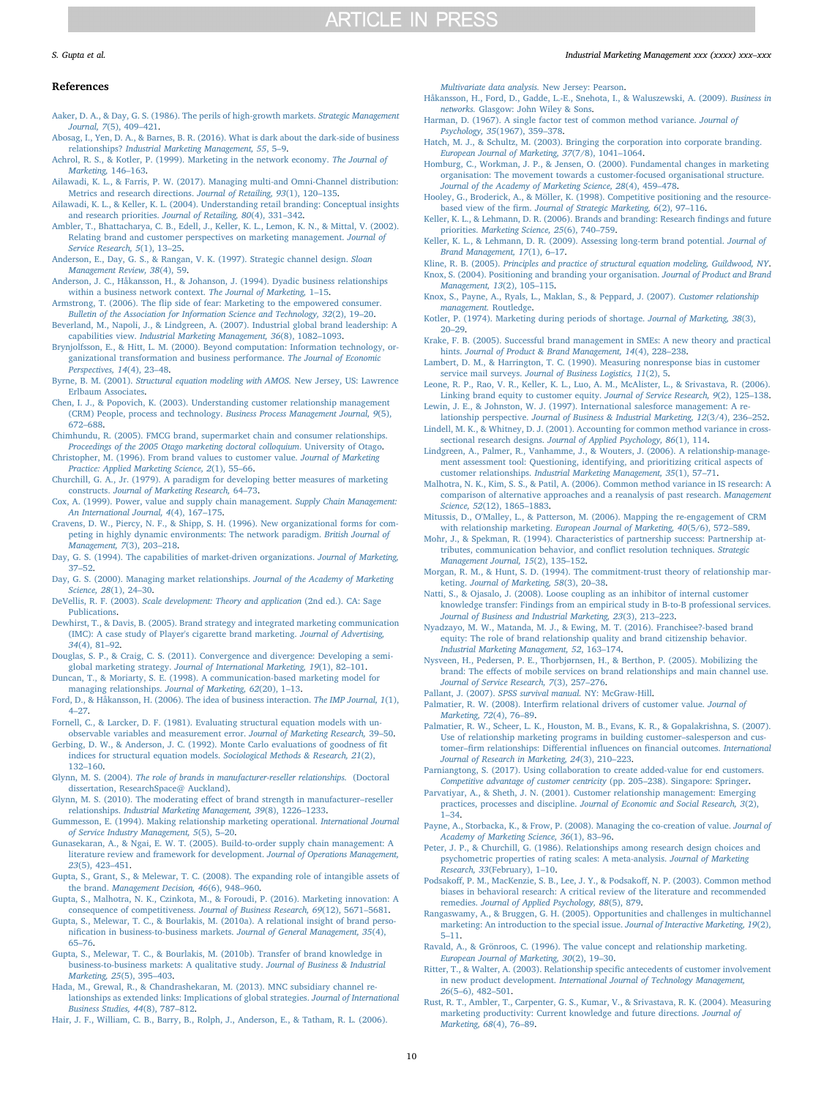#### S. Gupta et al. *Industrial Marketing Management xxx (xxxx) xxx–xxx*

#### References

[Multivariate data analysis.](http://refhub.elsevier.com/S0019-8501(17)30571-0/rf0210) New Jersey: Pearson.

<span id="page-9-37"></span>[Håkansson, H., Ford, D., Gadde, L.-E., Snehota, I., & Waluszewski, A. \(2009\).](http://refhub.elsevier.com/S0019-8501(17)30571-0/rf0215) Business in

<span id="page-9-1"></span>[Aaker, D. A., & Day, G. S. \(1986\). The perils of high-growth markets.](http://refhub.elsevier.com/S0019-8501(17)30571-0/rf0005) Strategic Management [Journal, 7](http://refhub.elsevier.com/S0019-8501(17)30571-0/rf0005)(5), 409–421.

<span id="page-9-39"></span>[Abosag, I., Yen, D. A., & Barnes, B. R. \(2016\). What is dark about the dark-side of business](http://refhub.elsevier.com/S0019-8501(17)30571-0/rf0010) relationships? [Industrial Marketing Management, 55](http://refhub.elsevier.com/S0019-8501(17)30571-0/rf0010), 5–9.

<span id="page-9-11"></span>[Achrol, R. S., & Kotler, P. \(1999\). Marketing in the network economy.](http://refhub.elsevier.com/S0019-8501(17)30571-0/rf0015) The Journal of [Marketing,](http://refhub.elsevier.com/S0019-8501(17)30571-0/rf0015) 146–163.

- <span id="page-9-0"></span>[Ailawadi, K. L., & Farris, P. W. \(2017\). Managing multi-and Omni-Channel distribution:](http://refhub.elsevier.com/S0019-8501(17)30571-0/rf0020) [Metrics and research directions.](http://refhub.elsevier.com/S0019-8501(17)30571-0/rf0020) Journal of Retailing, 93(1), 120–135.
- <span id="page-9-42"></span>[Ailawadi, K. L., & Keller, K. L. \(2004\). Understanding retail branding: Conceptual insights](http://refhub.elsevier.com/S0019-8501(17)30571-0/rf0025) [and research priorities.](http://refhub.elsevier.com/S0019-8501(17)30571-0/rf0025) Journal of Retailing, 80(4), 331–342.
- <span id="page-9-22"></span>[Ambler, T., Bhattacharya, C. B., Edell, J., Keller, K. L., Lemon, K. N., & Mittal, V. \(2002\).](http://refhub.elsevier.com/S0019-8501(17)30571-0/rf0030) [Relating brand and customer perspectives on marketing management.](http://refhub.elsevier.com/S0019-8501(17)30571-0/rf0030) Journal of [Service Research, 5](http://refhub.elsevier.com/S0019-8501(17)30571-0/rf0030)(1), 13–25.
- <span id="page-9-43"></span>[Anderson, E., Day, G. S., & Rangan, V. K. \(1997\). Strategic channel design.](http://refhub.elsevier.com/S0019-8501(17)30571-0/rf0040) Sloan [Management Review, 38](http://refhub.elsevier.com/S0019-8501(17)30571-0/rf0040)(4), 59.
- <span id="page-9-40"></span>[Anderson, J. C., Håkansson, H., & Johanson, J. \(1994\). Dyadic business relationships](http://refhub.elsevier.com/S0019-8501(17)30571-0/rf0045) [within a business network context.](http://refhub.elsevier.com/S0019-8501(17)30571-0/rf0045) The Journal of Marketing, 1–15.
- <span id="page-9-18"></span>Armstrong, T. (2006). The fl[ip side of fear: Marketing to the empowered consumer.](http://refhub.elsevier.com/S0019-8501(17)30571-0/rf0050) [Bulletin of the Association for Information Science and Technology, 32](http://refhub.elsevier.com/S0019-8501(17)30571-0/rf0050)(2), 19–20.
- <span id="page-9-4"></span>[Beverland, M., Napoli, J., & Lindgreen, A. \(2007\). Industrial global brand leadership: A](http://refhub.elsevier.com/S0019-8501(17)30571-0/rf0055) capabilities view. [Industrial Marketing Management, 36](http://refhub.elsevier.com/S0019-8501(17)30571-0/rf0055)(8), 1082–1093.
- <span id="page-9-17"></span>[Brynjolfsson, E., & Hitt, L. M. \(2000\). Beyond computation: Information technology, or](http://refhub.elsevier.com/S0019-8501(17)30571-0/rf0060)[ganizational transformation and business performance.](http://refhub.elsevier.com/S0019-8501(17)30571-0/rf0060) The Journal of Economic [Perspectives, 14](http://refhub.elsevier.com/S0019-8501(17)30571-0/rf0060)(4), 23–48.
- <span id="page-9-58"></span>Byrne, B. M. (2001). [Structural equation modeling with AMOS.](http://refhub.elsevier.com/S0019-8501(17)30571-0/rf0065) New Jersey, US: Lawrence [Erlbaum Associates](http://refhub.elsevier.com/S0019-8501(17)30571-0/rf0065).
- <span id="page-9-31"></span>[Chen, I. J., & Popovich, K. \(2003\). Understanding customer relationship management](http://refhub.elsevier.com/S0019-8501(17)30571-0/rf0070) [\(CRM\) People, process and technology.](http://refhub.elsevier.com/S0019-8501(17)30571-0/rf0070) Business Process Management Journal, 9(5), 672–[688](http://refhub.elsevier.com/S0019-8501(17)30571-0/rf0070).

<span id="page-9-46"></span>[Chimhundu, R. \(2005\). FMCG brand, supermarket chain and consumer relationships.](http://refhub.elsevier.com/S0019-8501(17)30571-0/rf0075) [Proceedings of the 2005 Otago marketing doctoral colloquium](http://refhub.elsevier.com/S0019-8501(17)30571-0/rf0075). University of Otago. [Christopher, M. \(1996\). From brand values to customer value.](http://refhub.elsevier.com/S0019-8501(17)30571-0/rf0080) Journal of Marketing

<span id="page-9-23"></span>[Practice: Applied Marketing Science, 2](http://refhub.elsevier.com/S0019-8501(17)30571-0/rf0080)(1), 55–66.

- <span id="page-9-51"></span>Churchill, [G. A., Jr. \(1979\). A paradigm for developing better measures of marketing](http://refhub.elsevier.com/S0019-8501(17)30571-0/rf0085) constructs. [Journal of Marketing Research,](http://refhub.elsevier.com/S0019-8501(17)30571-0/rf0085) 64–73.
- <span id="page-9-26"></span>[Cox, A. \(1999\). Power, value and supply chain management.](http://refhub.elsevier.com/S0019-8501(17)30571-0/rf0090) Supply Chain Management: [An International Journal, 4](http://refhub.elsevier.com/S0019-8501(17)30571-0/rf0090)(4), 167–175.
- <span id="page-9-7"></span>[Cravens, D. W., Piercy, N. F., & Shipp, S. H. \(1996\). New organizational forms for com](http://refhub.elsevier.com/S0019-8501(17)30571-0/rf0095)[peting in highly dynamic environments: The network paradigm.](http://refhub.elsevier.com/S0019-8501(17)30571-0/rf0095) British Journal of [Management, 7](http://refhub.elsevier.com/S0019-8501(17)30571-0/rf0095)(3), 203–218.
- <span id="page-9-21"></span>[Day, G. S. \(1994\). The capabilities of market-driven organizations.](http://refhub.elsevier.com/S0019-8501(17)30571-0/rf0100) Journal of Marketing, 37–[52](http://refhub.elsevier.com/S0019-8501(17)30571-0/rf0100).
- <span id="page-9-69"></span>[Day, G. S. \(2000\). Managing market relationships.](http://refhub.elsevier.com/S0019-8501(17)30571-0/rf0105) Journal of the Academy of Marketing [Science, 28](http://refhub.elsevier.com/S0019-8501(17)30571-0/rf0105)(1), 24–30.
- <span id="page-9-52"></span>DeVellis, R. F. (2003). [Scale development: Theory and application](http://refhub.elsevier.com/S0019-8501(17)30571-0/rf0110) (2nd ed.). CA: Sage [Publications](http://refhub.elsevier.com/S0019-8501(17)30571-0/rf0110).
- <span id="page-9-27"></span>[Dewhirst, T., & Davis, B. \(2005\). Brand strategy and integrated marketing communication](http://refhub.elsevier.com/S0019-8501(17)30571-0/rf0115) [\(IMC\): A case study of Player's cigarette brand marketing.](http://refhub.elsevier.com/S0019-8501(17)30571-0/rf0115) Journal of Advertising, 34[\(4\), 81](http://refhub.elsevier.com/S0019-8501(17)30571-0/rf0115)–92.
- <span id="page-9-45"></span>[Douglas, S. P., & Craig, C. S. \(2011\). Convergence and divergence: Developing a semi](http://refhub.elsevier.com/S0019-8501(17)30571-0/rf0120)global marketing strategy. [Journal of International Marketing, 19](http://refhub.elsevier.com/S0019-8501(17)30571-0/rf0120)(1), 82–101.

<span id="page-9-5"></span>[Duncan, T., & Moriarty, S. E. \(1998\). A communication-based marketing model for](http://refhub.elsevier.com/S0019-8501(17)30571-0/rf0125) managing relationships. [Journal of Marketing, 62](http://refhub.elsevier.com/S0019-8501(17)30571-0/rf0125)(20), 1–13.

- <span id="page-9-36"></span>[Ford, D., & Håkansson, H. \(2006\). The idea of business interaction.](http://refhub.elsevier.com/S0019-8501(17)30571-0/rf0130) The IMP Journal, 1(1), 4–[27](http://refhub.elsevier.com/S0019-8501(17)30571-0/rf0130).
- <span id="page-9-62"></span>[Fornell, C., & Larcker, D. F. \(1981\). Evaluating structural equation models with un](http://refhub.elsevier.com/S0019-8501(17)30571-0/rf0135)[observable variables and measurement error.](http://refhub.elsevier.com/S0019-8501(17)30571-0/rf0135) Journal of Marketing Research, 39–50.
- <span id="page-9-60"></span>[Gerbing, D. W., & Anderson, J. C. \(1992\). Monte Carlo evaluations of goodness of](http://refhub.elsevier.com/S0019-8501(17)30571-0/rf0145) fit [indices for structural equation models.](http://refhub.elsevier.com/S0019-8501(17)30571-0/rf0145) Sociological Methods & Research, 21(2), 132–[160](http://refhub.elsevier.com/S0019-8501(17)30571-0/rf0145).
- <span id="page-9-24"></span>Glynn, M. S. (2004). [The role of brands in manufacturer-reseller relationships.](http://refhub.elsevier.com/S0019-8501(17)30571-0/rf0150) (Doctoral [dissertation, ResearchSpace@ Auckland\).](http://refhub.elsevier.com/S0019-8501(17)30571-0/rf0150)
- <span id="page-9-48"></span>[Glynn, M. S. \(2010\). The moderating e](http://refhub.elsevier.com/S0019-8501(17)30571-0/rf0155)ffect of brand strength in manufacturer–reseller relationships. [Industrial Marketing Management, 39](http://refhub.elsevier.com/S0019-8501(17)30571-0/rf0155)(8), 1226–1233.
- <span id="page-9-28"></span>Gummesson, [E. \(1994\). Making relationship marketing operational.](http://refhub.elsevier.com/S0019-8501(17)30571-0/rf0170) International Journal [of Service Industry Management, 5](http://refhub.elsevier.com/S0019-8501(17)30571-0/rf0170)(5), 5–20.
- <span id="page-9-8"></span>[Gunasekaran, A., & Ngai, E. W. T. \(2005\). Build-to-order supply chain management: A](http://refhub.elsevier.com/S0019-8501(17)30571-0/rf0180) [literature review and framework for development.](http://refhub.elsevier.com/S0019-8501(17)30571-0/rf0180) Journal of Operations Management, 23[\(5\), 423](http://refhub.elsevier.com/S0019-8501(17)30571-0/rf0180)–451.
- <span id="page-9-13"></span>[Gupta, S., Grant, S., & Melewar, T. C. \(2008\). The expanding role of intangible assets of](http://refhub.elsevier.com/S0019-8501(17)30571-0/rf0185) the brand. [Management Decision, 46](http://refhub.elsevier.com/S0019-8501(17)30571-0/rf0185)(6), 948–960.
- <span id="page-9-6"></span>[Gupta, S., Malhotra, N. K., Czinkota, M., & Foroudi, P. \(2016\). Marketing innovation: A](http://refhub.elsevier.com/S0019-8501(17)30571-0/rf0190) [consequence of competitiveness.](http://refhub.elsevier.com/S0019-8501(17)30571-0/rf0190) Journal of Business Research, 69(12), 5671–5681.
- <span id="page-9-2"></span>[Gupta, S., Melewar, T. C., & Bourlakis, M. \(2010a\). A relational insight of brand perso](http://refhub.elsevier.com/S0019-8501(17)30571-0/rf0195)nifi[cation in business-to-business markets.](http://refhub.elsevier.com/S0019-8501(17)30571-0/rf0195) Journal of General Management, 35(4), 65–[76](http://refhub.elsevier.com/S0019-8501(17)30571-0/rf0195).
- <span id="page-9-32"></span>[Gupta, S., Melewar, T. C., & Bourlakis, M. \(2010b\). Transfer of brand knowledge in](http://refhub.elsevier.com/S0019-8501(17)30571-0/rf0200) [business-to-business markets: A qualitative study.](http://refhub.elsevier.com/S0019-8501(17)30571-0/rf0200) Journal of Business & Industrial [Marketing, 25](http://refhub.elsevier.com/S0019-8501(17)30571-0/rf0200)(5), 395–403.
- <span id="page-9-63"></span>[Hada, M., Grewal, R., & Chandrashekaran, M. \(2013\). MNC subsidiary channel re](http://refhub.elsevier.com/S0019-8501(17)30571-0/rf0205)[lationships as extended links: Implications of global strategies.](http://refhub.elsevier.com/S0019-8501(17)30571-0/rf0205) Journal of International [Business Studies, 44](http://refhub.elsevier.com/S0019-8501(17)30571-0/rf0205)(8), 787–812.

<span id="page-9-50"></span>[Hair, J. F., William, C. B., Barry, B., Rolph, J., Anderson, E., & Tatham, R. L. \(2006\).](http://refhub.elsevier.com/S0019-8501(17)30571-0/rf0210)

- <span id="page-9-54"></span>networks. [Glasgow: John Wiley & Sons.](http://refhub.elsevier.com/S0019-8501(17)30571-0/rf0215) [Harman, D. \(1967\). A single factor test of common method variance.](http://refhub.elsevier.com/S0019-8501(17)30571-0/rf0220) Journal of
- <span id="page-9-67"></span>[Psychology, 35](http://refhub.elsevier.com/S0019-8501(17)30571-0/rf0220)(1967), 359–378. [Hatch, M. J., & Schultz, M. \(2003\). Bringing the corporation into corporate branding.](http://refhub.elsevier.com/S0019-8501(17)30571-0/rf0225)
- [European Journal of Marketing, 37](http://refhub.elsevier.com/S0019-8501(17)30571-0/rf0225)(7/8), 1041–1064.
- <span id="page-9-65"></span>[Homburg, C., Workman, J. P., & Jensen, O. \(2000\). Fundamental changes in marketing](http://refhub.elsevier.com/S0019-8501(17)30571-0/rf0230) [organisation: The movement towards a customer-focused organisational structure.](http://refhub.elsevier.com/S0019-8501(17)30571-0/rf0230) [Journal of the Academy of Marketing Science, 28](http://refhub.elsevier.com/S0019-8501(17)30571-0/rf0230)(4), 459–478.
- <span id="page-9-44"></span>[Hooley, G., Broderick, A., & Möller, K. \(1998\). Competitive positioning and the resource](http://refhub.elsevier.com/S0019-8501(17)30571-0/rf0235)based view of the firm. [Journal of Strategic Marketing, 6](http://refhub.elsevier.com/S0019-8501(17)30571-0/rf0235)(2), 97–116.
- <span id="page-9-30"></span>[Keller, K. L., & Lehmann, D. R. \(2006\). Brands and branding: Research](http://refhub.elsevier.com/S0019-8501(17)30571-0/rf0240) findings and future priorities. [Marketing Science, 25](http://refhub.elsevier.com/S0019-8501(17)30571-0/rf0240)(6), 740–759.
- <span id="page-9-12"></span>Keller, [K. L., & Lehmann, D. R. \(2009\). Assessing long-term brand potential.](http://refhub.elsevier.com/S0019-8501(17)30571-0/rf0245) Journal of [Brand Management, 17](http://refhub.elsevier.com/S0019-8501(17)30571-0/rf0245)(1), 6–17.
- <span id="page-9-68"></span><span id="page-9-59"></span>Kline, R. B. (2005). [Principles and practice of structural equation modeling, Guildwood, NY](http://refhub.elsevier.com/S0019-8501(17)30571-0/rf0250). [Knox, S. \(2004\). Positioning and branding your organisation.](http://refhub.elsevier.com/S0019-8501(17)30571-0/rf0255) Journal of Product and Brand [Management, 13](http://refhub.elsevier.com/S0019-8501(17)30571-0/rf0255)(2), 105–115.
- <span id="page-9-33"></span>[Knox, S., Payne, A., Ryals, L., Maklan, S., & Peppard, J. \(2007\).](http://refhub.elsevier.com/S0019-8501(17)30571-0/rf0260) Customer relationship [management.](http://refhub.elsevier.com/S0019-8501(17)30571-0/rf0260) Routledge.

<span id="page-9-3"></span>[Kotler, P. \(1974\). Marketing during periods of shortage.](http://refhub.elsevier.com/S0019-8501(17)30571-0/rf0265) Journal of Marketing, 38(3), 20–[29](http://refhub.elsevier.com/S0019-8501(17)30571-0/rf0265).

- <span id="page-9-71"></span>[Krake, F. B. \(2005\). Successful brand management in SMEs: A new theory and practical](http://refhub.elsevier.com/S0019-8501(17)30571-0/rf0270) hints. [Journal of Product & Brand Management, 14](http://refhub.elsevier.com/S0019-8501(17)30571-0/rf0270)(4), 228–238.
- <span id="page-9-53"></span>[Lambert, D. M., & Harrington, T. C. \(1990\). Measuring nonresponse bias in customer](http://refhub.elsevier.com/S0019-8501(17)30571-0/rf0275) service mail surveys. [Journal of Business Logistics, 11](http://refhub.elsevier.com/S0019-8501(17)30571-0/rf0275)(2), 5.
- <span id="page-9-38"></span>[Leone, R. P., Rao, V. R., Keller, K. L., Luo, A. M., McAlister, L., & Srivastava, R. \(2006\).](http://refhub.elsevier.com/S0019-8501(17)30571-0/rf0280) [Linking brand equity to customer equity.](http://refhub.elsevier.com/S0019-8501(17)30571-0/rf0280) Journal of Service Research, 9(2), 125–138. [Lewin, J. E., & Johnston, W. J. \(1997\). International salesforce management: A re-](http://refhub.elsevier.com/S0019-8501(17)30571-0/rf0285)
- <span id="page-9-64"></span><span id="page-9-55"></span>lationship perspective. [Journal of Business & Industrial Marketing, 12](http://refhub.elsevier.com/S0019-8501(17)30571-0/rf0285)(3/4), 236–252. [Lindell, M. K., & Whitney, D. J. \(2001\). Accounting for common method variance in cross-](http://refhub.elsevier.com/S0019-8501(17)30571-0/rf0290)
- <span id="page-9-35"></span>sectional research designs. [Journal of Applied Psychology, 86](http://refhub.elsevier.com/S0019-8501(17)30571-0/rf0290)(1), 114. [Lindgreen, A., Palmer, R., Vanhamme, J., & Wouters, J. \(2006\). A relationship-manage-](http://refhub.elsevier.com/S0019-8501(17)30571-0/rf0295)
- [ment assessment tool: Questioning, identifying, and prioritizing critical aspects of](http://refhub.elsevier.com/S0019-8501(17)30571-0/rf0295) customer relationships. [Industrial Marketing Management, 35](http://refhub.elsevier.com/S0019-8501(17)30571-0/rf0295)(1), 57–71.
- <span id="page-9-56"></span>[Malhotra, N. K., Kim, S. S., & Patil, A. \(2006\). Common method variance in IS research: A](http://refhub.elsevier.com/S0019-8501(17)30571-0/rf0300) [comparison of alternative approaches and a reanalysis of past research.](http://refhub.elsevier.com/S0019-8501(17)30571-0/rf0300) Management Science, 52[\(12\), 1865](http://refhub.elsevier.com/S0019-8501(17)30571-0/rf0300)–1883.
- <span id="page-9-14"></span>[Mitussis, D., O'Malley, L., & Patterson, M. \(2006\). Mapping the re-engagement of CRM](http://refhub.elsevier.com/S0019-8501(17)30571-0/rf0310) with relationship marketing. *[European Journal of Marketing, 40](http://refhub.elsevier.com/S0019-8501(17)30571-0/rf0310)(5/6)*, 572–589.
- <span id="page-9-20"></span>[Mohr, J., & Spekman, R. \(1994\). Characteristics of partnership success: Partnership at](http://refhub.elsevier.com/S0019-8501(17)30571-0/rf0315)[tributes, communication behavior, and con](http://refhub.elsevier.com/S0019-8501(17)30571-0/rf0315)flict resolution techniques. Strategic [Management Journal, 15](http://refhub.elsevier.com/S0019-8501(17)30571-0/rf0315)(2), 135–152.
- <span id="page-9-16"></span>[Morgan, R. M., & Hunt, S. D. \(1994\). The commitment-trust theory of relationship mar](http://refhub.elsevier.com/S0019-8501(17)30571-0/rf0320)keting. [Journal of Marketing, 58](http://refhub.elsevier.com/S0019-8501(17)30571-0/rf0320)(3), 20–38.
- <span id="page-9-41"></span>Natti, [S., & Ojasalo, J. \(2008\). Loose coupling as an inhibitor of internal customer](http://refhub.elsevier.com/S0019-8501(17)30571-0/rf0330) [knowledge transfer: Findings from an empirical study in B-to-B professional services.](http://refhub.elsevier.com/S0019-8501(17)30571-0/rf0330) [Journal of Business and Industrial Marketing, 23](http://refhub.elsevier.com/S0019-8501(17)30571-0/rf0330)(3), 213–223.
- <span id="page-9-49"></span>[Nyadzayo, M. W., Matanda, M. J., & Ewing, M. T. \(2016\). Franchisee?-based brand](http://refhub.elsevier.com/S0019-8501(17)30571-0/rf0335) [equity: The role of brand relationship quality and brand citizenship behavior.](http://refhub.elsevier.com/S0019-8501(17)30571-0/rf0335) [Industrial Marketing Management, 52](http://refhub.elsevier.com/S0019-8501(17)30571-0/rf0335), 163–174.
- <span id="page-9-19"></span>[Nysveen, H., Pedersen, P. E., Thorbjørnsen, H., & Berthon, P. \(2005\). Mobilizing the](http://refhub.elsevier.com/S0019-8501(17)30571-0/rf0340) brand: The eff[ects of mobile services on brand relationships and main channel use.](http://refhub.elsevier.com/S0019-8501(17)30571-0/rf0340) [Journal of Service Research, 7](http://refhub.elsevier.com/S0019-8501(17)30571-0/rf0340)(3), 257–276.

<span id="page-9-61"></span>Pallant, J. (2007). [SPSS survival manual.](http://refhub.elsevier.com/S0019-8501(17)30571-0/rf0345) NY: McGraw-Hill.

- <span id="page-9-34"></span>Palmatier, R. W. (2008). Interfi[rm relational drivers of customer value.](http://refhub.elsevier.com/S0019-8501(17)30571-0/rf0350) Journal of [Marketing, 72](http://refhub.elsevier.com/S0019-8501(17)30571-0/rf0350)(4), 76–89.
- <span id="page-9-15"></span>[Palmatier, R. W., Scheer, L. K., Houston, M. B., Evans, K. R., & Gopalakrishna, S. \(2007\).](http://refhub.elsevier.com/S0019-8501(17)30571-0/rf0355) [Use of relationship marketing programs in building customer](http://refhub.elsevier.com/S0019-8501(17)30571-0/rf0355)–salesperson and customer–fi[rm relationships: Di](http://refhub.elsevier.com/S0019-8501(17)30571-0/rf0355)fferential influences on financial outcomes. International [Journal of Research in Marketing, 24](http://refhub.elsevier.com/S0019-8501(17)30571-0/rf0355)(3), 210–223.

<span id="page-9-25"></span>[Parniangtong, S. \(2017\). Using collaboration to create added-value for end customers.](http://refhub.elsevier.com/S0019-8501(17)30571-0/rf0360) [Competitive advantage of customer centricity](http://refhub.elsevier.com/S0019-8501(17)30571-0/rf0360) (pp. 205–238). Singapore: Springer.

- <span id="page-9-70"></span>[Parvatiyar, A., & Sheth, J. N. \(2001\). Customer relationship management: Emerging](http://refhub.elsevier.com/S0019-8501(17)30571-0/rf0365) practices, processes and discipline. [Journal of Economic and Social Research, 3](http://refhub.elsevier.com/S0019-8501(17)30571-0/rf0365)(2), 1–[34.](http://refhub.elsevier.com/S0019-8501(17)30571-0/rf0365)
- <span id="page-9-29"></span>[Payne, A., Storbacka, K., & Frow, P. \(2008\). Managing the co-creation of value.](http://refhub.elsevier.com/S0019-8501(17)30571-0/rf0370) Journal of [Academy of Marketing Science, 36](http://refhub.elsevier.com/S0019-8501(17)30571-0/rf0370)(1), 83–96.
- <span id="page-9-66"></span>[Peter, J. P., & Churchill, G. \(1986\). Relationships among research design choices and](http://refhub.elsevier.com/S0019-8501(17)30571-0/rf0375) [psychometric properties of rating scales: A meta-analysis.](http://refhub.elsevier.com/S0019-8501(17)30571-0/rf0375) Journal of Marketing Research, 33[\(February\), 1](http://refhub.elsevier.com/S0019-8501(17)30571-0/rf0375)–10.
- <span id="page-9-57"></span>Podsakoff[, P. M., MacKenzie, S. B., Lee, J. Y., & Podsako](http://refhub.elsevier.com/S0019-8501(17)30571-0/rf0380)ff, N. P. (2003). Common method [biases in behavioral research: A critical review of the literature and recommended](http://refhub.elsevier.com/S0019-8501(17)30571-0/rf0380) remedies. [Journal of Applied Psychology, 88](http://refhub.elsevier.com/S0019-8501(17)30571-0/rf0380)(5), 879.
- [Rangaswamy, A., & Bruggen, G. H. \(2005\). Opportunities and challenges in multichannel](http://refhub.elsevier.com/S0019-8501(17)30571-0/rf2025) [marketing: An introduction to the special issue.](http://refhub.elsevier.com/S0019-8501(17)30571-0/rf2025) Journal of Interactive Marketing, 19(2), 5–[11.](http://refhub.elsevier.com/S0019-8501(17)30571-0/rf2025)
- <span id="page-9-47"></span>Ravald, [A., & Grönroos, C. \(1996\). The value concept and relationship marketing.](http://refhub.elsevier.com/S0019-8501(17)30571-0/rf0385) [European Journal of Marketing, 30](http://refhub.elsevier.com/S0019-8501(17)30571-0/rf0385)(2), 19–30.
- <span id="page-9-10"></span>[Ritter, T., & Walter, A. \(2003\). Relationship speci](http://refhub.elsevier.com/S0019-8501(17)30571-0/rf0390)fic antecedents of customer involvement in new product development. [International Journal of Technology Management,](http://refhub.elsevier.com/S0019-8501(17)30571-0/rf0390) 26(5–[6\), 482](http://refhub.elsevier.com/S0019-8501(17)30571-0/rf0390)–501.
- <span id="page-9-9"></span>[Rust, R. T., Ambler, T., Carpenter, G. S., Kumar, V., & Srivastava, R. K. \(2004\). Measuring](http://refhub.elsevier.com/S0019-8501(17)30571-0/rf0395) [marketing productivity: Current knowledge and future directions.](http://refhub.elsevier.com/S0019-8501(17)30571-0/rf0395) Journal of [Marketing, 68](http://refhub.elsevier.com/S0019-8501(17)30571-0/rf0395)(4), 76–89.